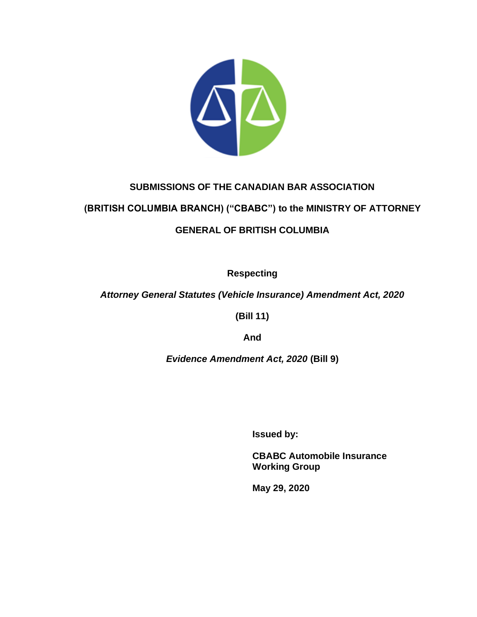

# **SUBMISSIONS OF THE CANADIAN BAR ASSOCIATION**

# **(BRITISH COLUMBIA BRANCH) ("CBABC") to the MINISTRY OF ATTORNEY**

# **GENERAL OF BRITISH COLUMBIA**

**Respecting**

# *Attorney General Statutes (Vehicle Insurance) Amendment Act, 2020*

**(Bill 11)**

**And**

*Evidence Amendment Act, 2020* **(Bill 9)**

**Issued by:**

**CBABC Automobile Insurance Working Group**

**May 29, 2020**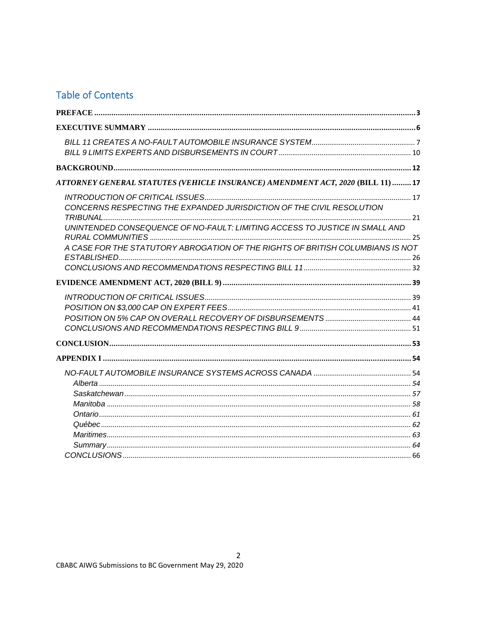# **Table of Contents**

| ATTORNEY GENERAL STATUTES (VEHICLE INSURANCE) AMENDMENT ACT, 2020 (BILL 11)  17<br>CONCERNS RESPECTING THE EXPANDED JURISDICTION OF THE CIVIL RESOLUTION<br>UNINTENDED CONSEQUENCE OF NO-FAULT: LIMITING ACCESS TO JUSTICE IN SMALL AND<br>A CASE FOR THE STATUTORY ABROGATION OF THE RIGHTS OF BRITISH COLUMBIANS IS NOT |  |
|---------------------------------------------------------------------------------------------------------------------------------------------------------------------------------------------------------------------------------------------------------------------------------------------------------------------------|--|
|                                                                                                                                                                                                                                                                                                                           |  |
|                                                                                                                                                                                                                                                                                                                           |  |
|                                                                                                                                                                                                                                                                                                                           |  |
|                                                                                                                                                                                                                                                                                                                           |  |
|                                                                                                                                                                                                                                                                                                                           |  |
|                                                                                                                                                                                                                                                                                                                           |  |
|                                                                                                                                                                                                                                                                                                                           |  |
|                                                                                                                                                                                                                                                                                                                           |  |
|                                                                                                                                                                                                                                                                                                                           |  |
|                                                                                                                                                                                                                                                                                                                           |  |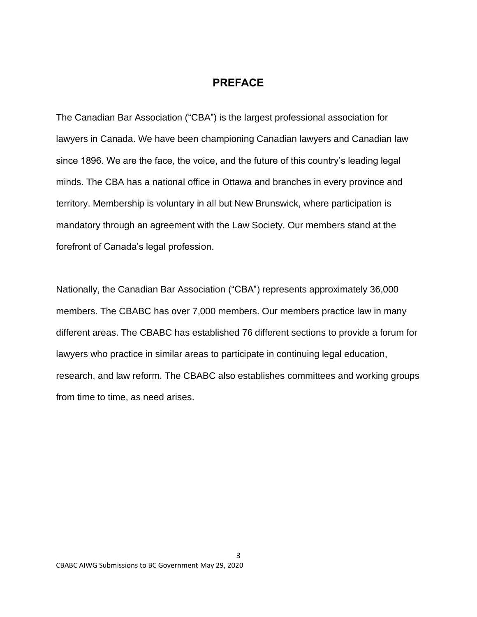# **PREFACE**

<span id="page-2-0"></span>The Canadian Bar Association ("CBA") is the largest professional association for lawyers in Canada. We have been championing Canadian lawyers and Canadian law since 1896. We are the face, the voice, and the future of this country's leading legal minds. The CBA has a national office in Ottawa and branches in every province and territory. Membership is voluntary in all but New Brunswick, where participation is mandatory through an agreement with the Law Society. Our members stand at the forefront of Canada's legal profession.

Nationally, the Canadian Bar Association ("CBA") represents approximately 36,000 members. The CBABC has over 7,000 members. Our members practice law in many different areas. The CBABC has established 76 different sections to provide a forum for lawyers who practice in similar areas to participate in continuing legal education, research, and law reform. The CBABC also establishes committees and working groups from time to time, as need arises.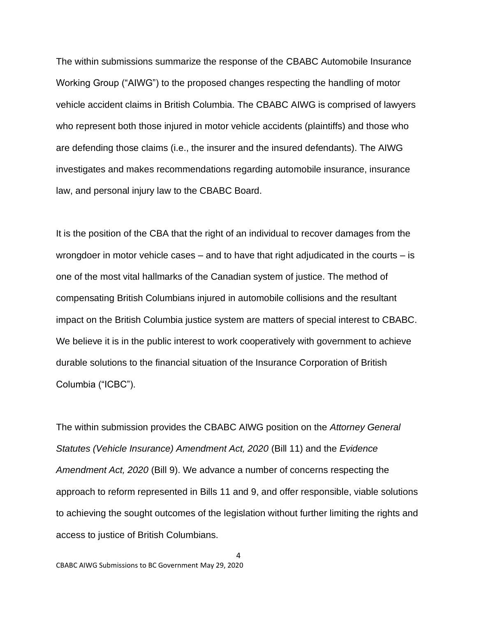The within submissions summarize the response of the CBABC Automobile Insurance Working Group ("AIWG") to the proposed changes respecting the handling of motor vehicle accident claims in British Columbia. The CBABC AIWG is comprised of lawyers who represent both those injured in motor vehicle accidents (plaintiffs) and those who are defending those claims (i.e., the insurer and the insured defendants). The AIWG investigates and makes recommendations regarding automobile insurance, insurance law, and personal injury law to the CBABC Board.

It is the position of the CBA that the right of an individual to recover damages from the wrongdoer in motor vehicle cases – and to have that right adjudicated in the courts – is one of the most vital hallmarks of the Canadian system of justice. The method of compensating British Columbians injured in automobile collisions and the resultant impact on the British Columbia justice system are matters of special interest to CBABC. We believe it is in the public interest to work cooperatively with government to achieve durable solutions to the financial situation of the Insurance Corporation of British Columbia ("ICBC").

The within submission provides the CBABC AIWG position on the *Attorney General Statutes (Vehicle Insurance) Amendment Act, 2020* (Bill 11) and the *Evidence Amendment Act, 2020* (Bill 9). We advance a number of concerns respecting the approach to reform represented in Bills 11 and 9, and offer responsible, viable solutions to achieving the sought outcomes of the legislation without further limiting the rights and access to justice of British Columbians.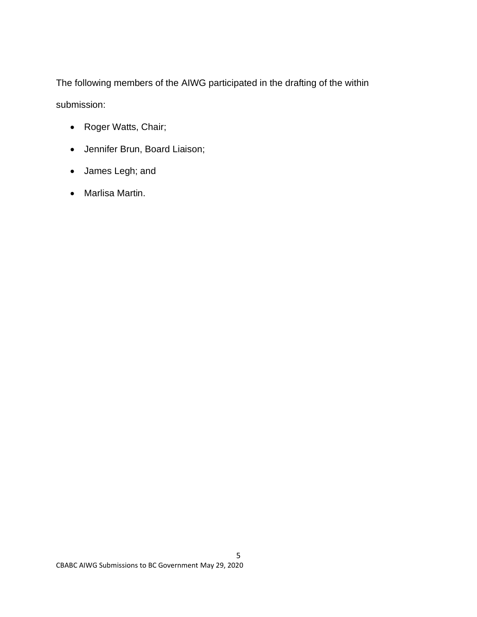The following members of the AIWG participated in the drafting of the within submission:

- Roger Watts, Chair;
- Jennifer Brun, Board Liaison;
- James Legh; and
- Marlisa Martin.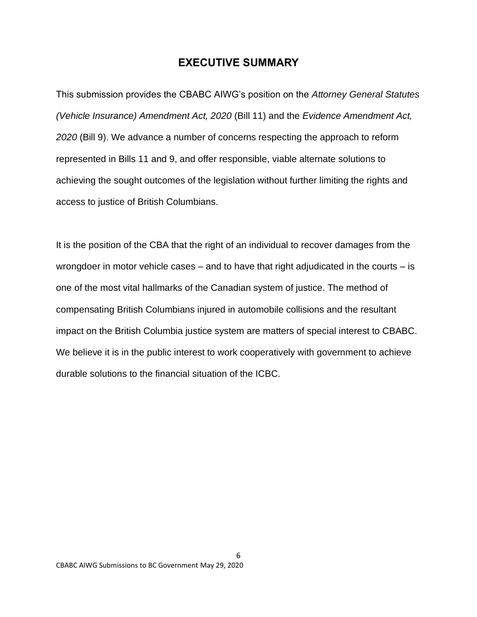# **EXECUTIVE SUMMARY**

<span id="page-5-0"></span>This submission provides the CBABC AIWG's position on the *Attorney General Statutes (Vehicle Insurance) Amendment Act, 2020* (Bill 11) and the *Evidence Amendment Act, 2020* (Bill 9). We advance a number of concerns respecting the approach to reform represented in Bills 11 and 9, and offer responsible, viable alternate solutions to achieving the sought outcomes of the legislation without further limiting the rights and access to justice of British Columbians.

It is the position of the CBA that the right of an individual to recover damages from the wrongdoer in motor vehicle cases  $-$  and to have that right adjudicated in the courts  $-$  is one of the most vital hallmarks of the Canadian system of justice. The method of compensating British Columbians injured in automobile collisions and the resultant impact on the British Columbia justice system are matters of special interest to CBABC. We believe it is in the public interest to work cooperatively with government to achieve durable solutions to the financial situation of the ICBC.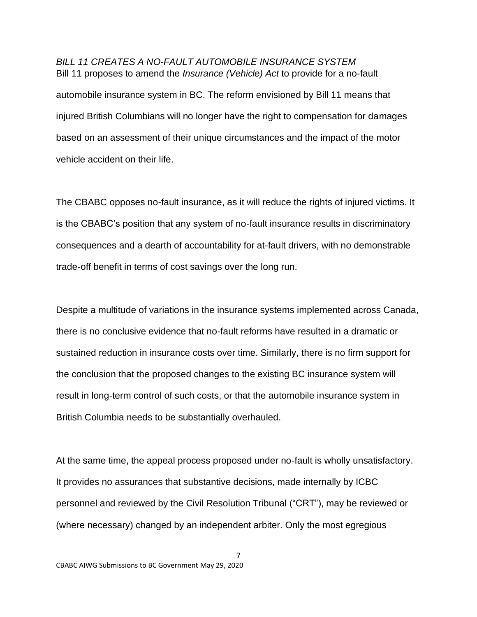# <span id="page-6-0"></span>*BILL 11 CREATES A NO-FAULT AUTOMOBILE INSURANCE SYSTEM*  Bill 11 proposes to amend the *Insurance (Vehicle) Act* to provide for a no-fault

automobile insurance system in BC. The reform envisioned by Bill 11 means that injured British Columbians will no longer have the right to compensation for damages based on an assessment of their unique circumstances and the impact of the motor vehicle accident on their life.

The CBABC opposes no-fault insurance, as it will reduce the rights of injured victims. It is the CBABC's position that any system of no-fault insurance results in discriminatory consequences and a dearth of accountability for at-fault drivers, with no demonstrable trade-off benefit in terms of cost savings over the long run.

Despite a multitude of variations in the insurance systems implemented across Canada, there is no conclusive evidence that no-fault reforms have resulted in a dramatic or sustained reduction in insurance costs over time. Similarly, there is no firm support for the conclusion that the proposed changes to the existing BC insurance system will result in long-term control of such costs, or that the automobile insurance system in British Columbia needs to be substantially overhauled.

At the same time, the appeal process proposed under no-fault is wholly unsatisfactory. It provides no assurances that substantive decisions, made internally by ICBC personnel and reviewed by the Civil Resolution Tribunal ("CRT"), may be reviewed or (where necessary) changed by an independent arbiter. Only the most egregious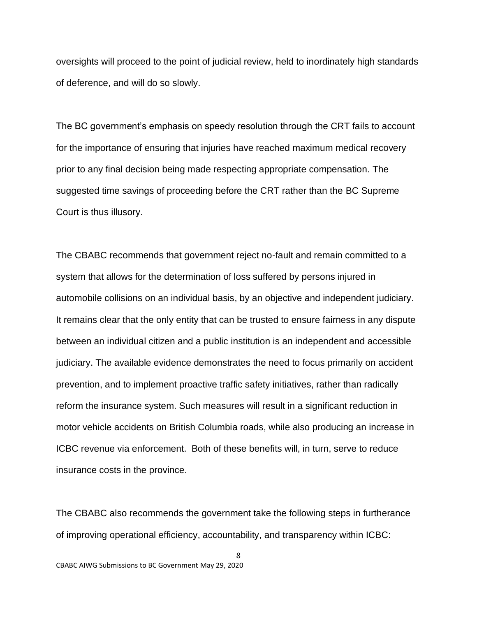oversights will proceed to the point of judicial review, held to inordinately high standards of deference, and will do so slowly.

The BC government's emphasis on speedy resolution through the CRT fails to account for the importance of ensuring that injuries have reached maximum medical recovery prior to any final decision being made respecting appropriate compensation. The suggested time savings of proceeding before the CRT rather than the BC Supreme Court is thus illusory.

The CBABC recommends that government reject no-fault and remain committed to a system that allows for the determination of loss suffered by persons injured in automobile collisions on an individual basis, by an objective and independent judiciary. It remains clear that the only entity that can be trusted to ensure fairness in any dispute between an individual citizen and a public institution is an independent and accessible judiciary. The available evidence demonstrates the need to focus primarily on accident prevention, and to implement proactive traffic safety initiatives, rather than radically reform the insurance system. Such measures will result in a significant reduction in motor vehicle accidents on British Columbia roads, while also producing an increase in ICBC revenue via enforcement. Both of these benefits will, in turn, serve to reduce insurance costs in the province.

The CBABC also recommends the government take the following steps in furtherance of improving operational efficiency, accountability, and transparency within ICBC: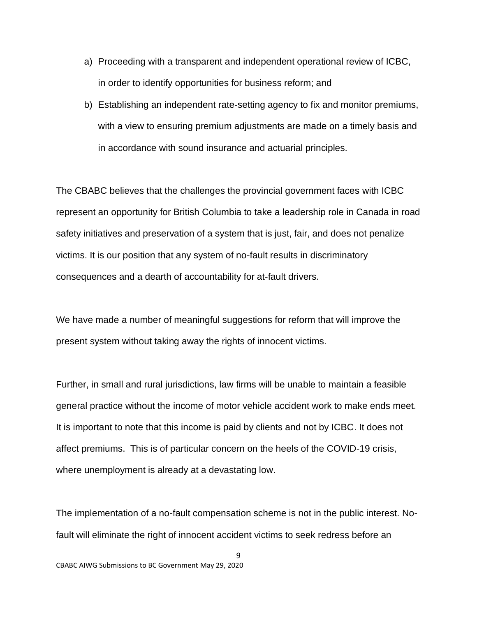- a) Proceeding with a transparent and independent operational review of ICBC, in order to identify opportunities for business reform; and
- b) Establishing an independent rate-setting agency to fix and monitor premiums, with a view to ensuring premium adjustments are made on a timely basis and in accordance with sound insurance and actuarial principles.

The CBABC believes that the challenges the provincial government faces with ICBC represent an opportunity for British Columbia to take a leadership role in Canada in road safety initiatives and preservation of a system that is just, fair, and does not penalize victims. It is our position that any system of no-fault results in discriminatory consequences and a dearth of accountability for at-fault drivers.

We have made a number of meaningful suggestions for reform that will improve the present system without taking away the rights of innocent victims.

Further, in small and rural jurisdictions, law firms will be unable to maintain a feasible general practice without the income of motor vehicle accident work to make ends meet. It is important to note that this income is paid by clients and not by ICBC. It does not affect premiums. This is of particular concern on the heels of the COVID-19 crisis, where unemployment is already at a devastating low.

The implementation of a no-fault compensation scheme is not in the public interest. Nofault will eliminate the right of innocent accident victims to seek redress before an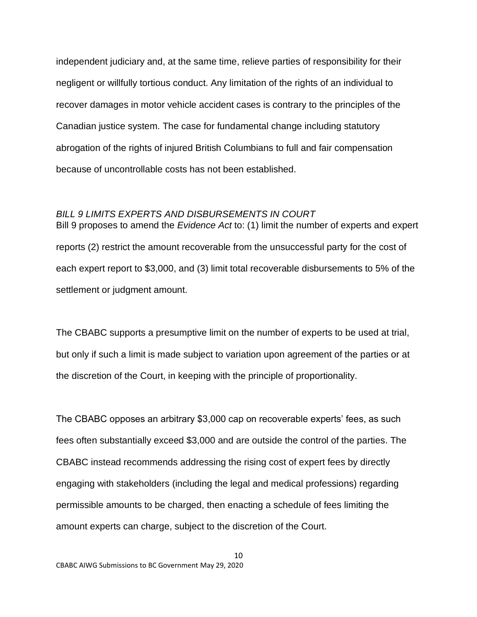independent judiciary and, at the same time, relieve parties of responsibility for their negligent or willfully tortious conduct. Any limitation of the rights of an individual to recover damages in motor vehicle accident cases is contrary to the principles of the Canadian justice system. The case for fundamental change including statutory abrogation of the rights of injured British Columbians to full and fair compensation because of uncontrollable costs has not been established.

#### <span id="page-9-0"></span>*BILL 9 LIMITS EXPERTS AND DISBURSEMENTS IN COURT*

Bill 9 proposes to amend the *Evidence Act* to: (1) limit the number of experts and expert reports (2) restrict the amount recoverable from the unsuccessful party for the cost of each expert report to \$3,000, and (3) limit total recoverable disbursements to 5% of the settlement or judgment amount.

The CBABC supports a presumptive limit on the number of experts to be used at trial, but only if such a limit is made subject to variation upon agreement of the parties or at the discretion of the Court, in keeping with the principle of proportionality.

The CBABC opposes an arbitrary \$3,000 cap on recoverable experts' fees, as such fees often substantially exceed \$3,000 and are outside the control of the parties. The CBABC instead recommends addressing the rising cost of expert fees by directly engaging with stakeholders (including the legal and medical professions) regarding permissible amounts to be charged, then enacting a schedule of fees limiting the amount experts can charge, subject to the discretion of the Court.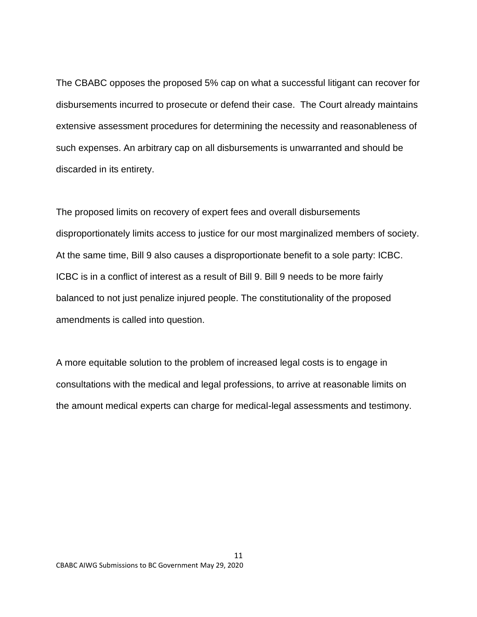The CBABC opposes the proposed 5% cap on what a successful litigant can recover for disbursements incurred to prosecute or defend their case. The Court already maintains extensive assessment procedures for determining the necessity and reasonableness of such expenses. An arbitrary cap on all disbursements is unwarranted and should be discarded in its entirety.

The proposed limits on recovery of expert fees and overall disbursements disproportionately limits access to justice for our most marginalized members of society. At the same time, Bill 9 also causes a disproportionate benefit to a sole party: ICBC. ICBC is in a conflict of interest as a result of Bill 9. Bill 9 needs to be more fairly balanced to not just penalize injured people. The constitutionality of the proposed amendments is called into question.

A more equitable solution to the problem of increased legal costs is to engage in consultations with the medical and legal professions, to arrive at reasonable limits on the amount medical experts can charge for medical-legal assessments and testimony.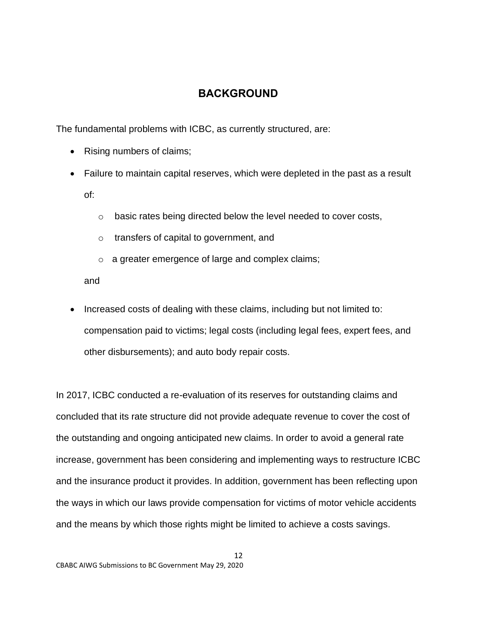# **BACKGROUND**

<span id="page-11-0"></span>The fundamental problems with ICBC, as currently structured, are:

- Rising numbers of claims;
- Failure to maintain capital reserves, which were depleted in the past as a result of:
	- o basic rates being directed below the level needed to cover costs,
	- o transfers of capital to government, and
	- o a greater emergence of large and complex claims;

and

• Increased costs of dealing with these claims, including but not limited to: compensation paid to victims; legal costs (including legal fees, expert fees, and other disbursements); and auto body repair costs.

In 2017, ICBC conducted a re-evaluation of its reserves for outstanding claims and concluded that its rate structure did not provide adequate revenue to cover the cost of the outstanding and ongoing anticipated new claims. In order to avoid a general rate increase, government has been considering and implementing ways to restructure ICBC and the insurance product it provides. In addition, government has been reflecting upon the ways in which our laws provide compensation for victims of motor vehicle accidents and the means by which those rights might be limited to achieve a costs savings.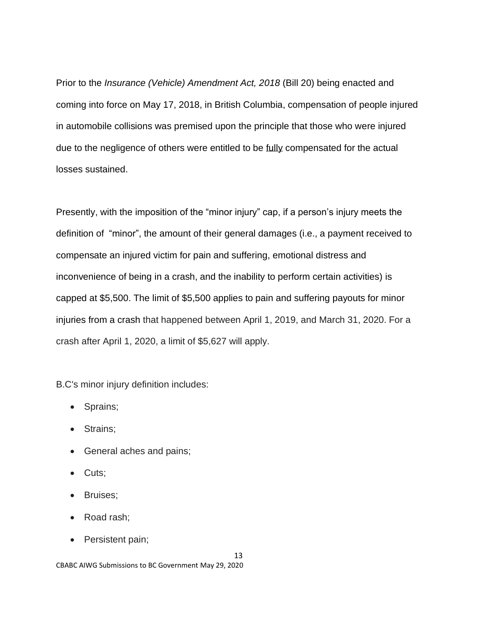Prior to the *Insurance (Vehicle) Amendment Act, 2018* (Bill 20) being enacted and coming into force on May 17, 2018, in British Columbia, compensation of people injured in automobile collisions was premised upon the principle that those who were injured due to the negligence of others were entitled to be fully compensated for the actual losses sustained.

Presently, with the imposition of the "minor injury" cap, if a person's injury meets the definition of "minor", the amount of their general damages (i.e., a payment received to compensate an injured victim for pain and suffering, emotional distress and inconvenience of being in a crash, and the inability to perform certain activities) is capped at \$5,500. The limit of \$5,500 applies to pain and suffering payouts for minor injuries from a crash that happened between April 1, 2019, and March 31, 2020. For a crash after April 1, 2020, a limit of \$5,627 will apply.

B.C's minor injury definition includes:

- Sprains;
- Strains;
- General aches and pains;
- Cuts;
- Bruises;
- Road rash;
- Persistent pain;

13

CBABC AIWG Submissions to BC Government May 29, 2020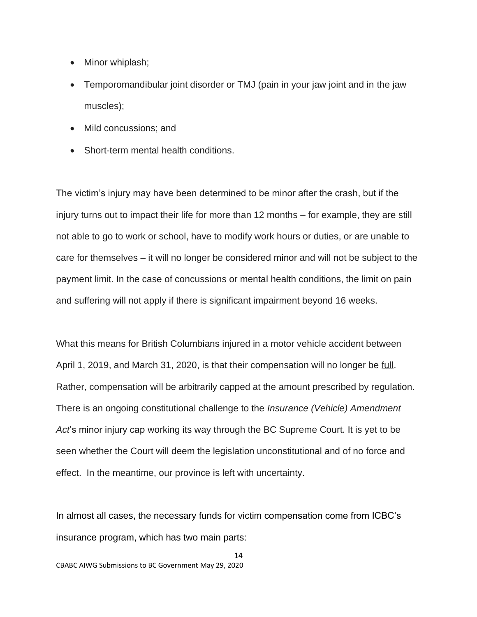- Minor whiplash;
- Temporomandibular joint disorder or TMJ (pain in your jaw joint and in the jaw muscles);
- Mild concussions; and
- Short-term mental health conditions.

The victim's injury may have been determined to be minor after the crash, but if the injury turns out to impact their life for more than 12 months – for example, they are still not able to go to work or school, have to modify work hours or duties, or are unable to care for themselves – it will no longer be considered minor and will not be subject to the payment limit. In the case of concussions or mental health conditions, the limit on pain and suffering will not apply if there is significant impairment beyond 16 weeks.

What this means for British Columbians injured in a motor vehicle accident between April 1, 2019, and March 31, 2020, is that their compensation will no longer be full. Rather, compensation will be arbitrarily capped at the amount prescribed by regulation. There is an ongoing constitutional challenge to the *Insurance (Vehicle) Amendment Act*'s minor injury cap working its way through the BC Supreme Court. It is yet to be seen whether the Court will deem the legislation unconstitutional and of no force and effect. In the meantime, our province is left with uncertainty.

In almost all cases, the necessary funds for victim compensation come from ICBC's insurance program, which has two main parts: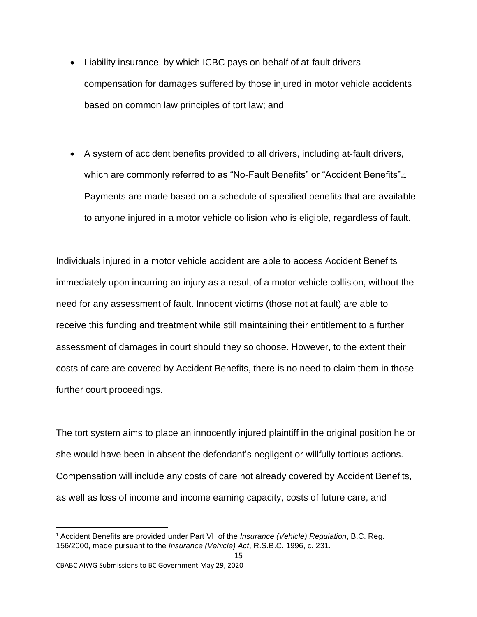- Liability insurance, by which ICBC pays on behalf of at-fault drivers compensation for damages suffered by those injured in motor vehicle accidents based on common law principles of tort law; and
- A system of accident benefits provided to all drivers, including at-fault drivers, which are commonly referred to as "No-Fault Benefits" or "Accident Benefits".<sup>1</sup> Payments are made based on a schedule of specified benefits that are available to anyone injured in a motor vehicle collision who is eligible, regardless of fault.

Individuals injured in a motor vehicle accident are able to access Accident Benefits immediately upon incurring an injury as a result of a motor vehicle collision, without the need for any assessment of fault. Innocent victims (those not at fault) are able to receive this funding and treatment while still maintaining their entitlement to a further assessment of damages in court should they so choose. However, to the extent their costs of care are covered by Accident Benefits, there is no need to claim them in those further court proceedings.

The tort system aims to place an innocently injured plaintiff in the original position he or she would have been in absent the defendant's negligent or willfully tortious actions. Compensation will include any costs of care not already covered by Accident Benefits, as well as loss of income and income earning capacity, costs of future care, and

<sup>1</sup> Accident Benefits are provided under Part VII of the *Insurance (Vehicle) Regulation*, B.C. Reg. 156/2000, made pursuant to the *Insurance (Vehicle) Act*, R.S.B.C. 1996, c. 231.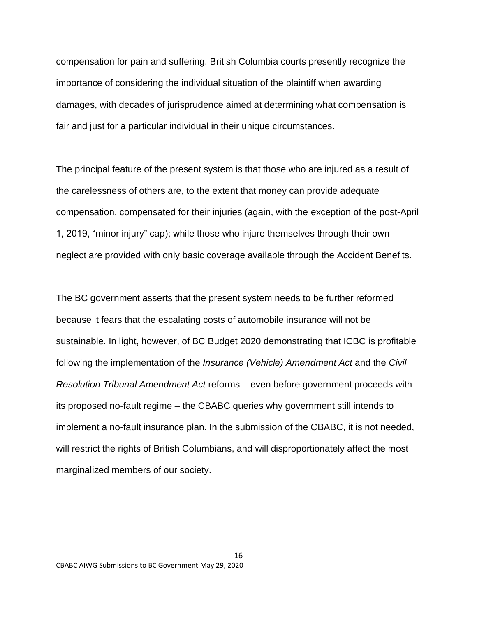compensation for pain and suffering. British Columbia courts presently recognize the importance of considering the individual situation of the plaintiff when awarding damages, with decades of jurisprudence aimed at determining what compensation is fair and just for a particular individual in their unique circumstances.

The principal feature of the present system is that those who are injured as a result of the carelessness of others are, to the extent that money can provide adequate compensation, compensated for their injuries (again, with the exception of the post-April 1, 2019, "minor injury" cap); while those who injure themselves through their own neglect are provided with only basic coverage available through the Accident Benefits.

The BC government asserts that the present system needs to be further reformed because it fears that the escalating costs of automobile insurance will not be sustainable. In light, however, of BC Budget 2020 demonstrating that ICBC is profitable following the implementation of the *Insurance (Vehicle) Amendment Act* and the *Civil Resolution Tribunal Amendment Act* reforms – even before government proceeds with its proposed no-fault regime – the CBABC queries why government still intends to implement a no-fault insurance plan. In the submission of the CBABC, it is not needed, will restrict the rights of British Columbians, and will disproportionately affect the most marginalized members of our society.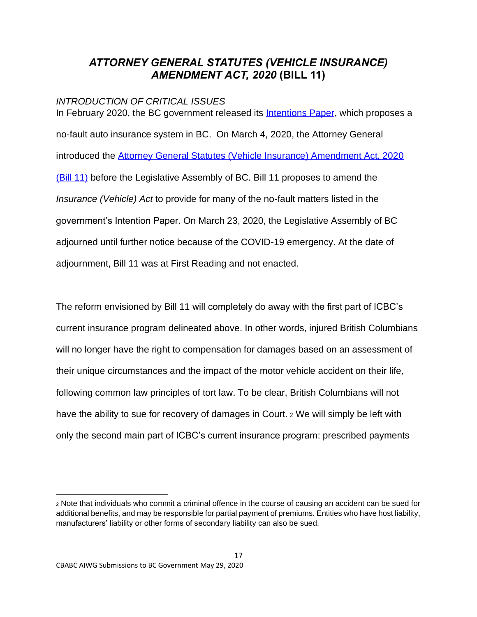# <span id="page-16-0"></span>*ATTORNEY GENERAL STATUTES (VEHICLE INSURANCE) AMENDMENT ACT, 2020* **(BILL 11)**

### <span id="page-16-1"></span>*INTRODUCTION OF CRITICAL ISSUES*

In February 2020, the BC government released its [Intentions Paper,](https://www2.gov.bc.ca/assets/gov/british-columbians-our-governments/organizational-structure/crown-corporations/enhanced-care-coverage-intentions-paper.pdf) which proposes a no-fault auto insurance system in BC. On March 4, 2020, the Attorney General introduced the [Attorney General Statutes \(Vehicle Insurance\) Amendment Act, 2020](https://www.leg.bc.ca/parliamentary-business/legislation-debates-proceedings/41st-parliament/5th-session/bills/first-reading/gov11-1)  [\(Bill 11\)](https://www.leg.bc.ca/parliamentary-business/legislation-debates-proceedings/41st-parliament/5th-session/bills/first-reading/gov11-1) before the Legislative Assembly of BC. Bill 11 proposes to amend the *Insurance (Vehicle) Act* to provide for many of the no-fault matters listed in the government's Intention Paper. On March 23, 2020, the Legislative Assembly of BC adjourned until further notice because of the COVID-19 emergency. At the date of adjournment, Bill 11 was at First Reading and not enacted.

The reform envisioned by Bill 11 will completely do away with the first part of ICBC's current insurance program delineated above. In other words, injured British Columbians will no longer have the right to compensation for damages based on an assessment of their unique circumstances and the impact of the motor vehicle accident on their life, following common law principles of tort law. To be clear, British Columbians will not have the ability to sue for recovery of damages in Court. <sup>2</sup> We will simply be left with only the second main part of ICBC's current insurance program: prescribed payments

<sup>2</sup> Note that individuals who commit a criminal offence in the course of causing an accident can be sued for additional benefits, and may be responsible for partial payment of premiums. Entities who have host liability, manufacturers' liability or other forms of secondary liability can also be sued.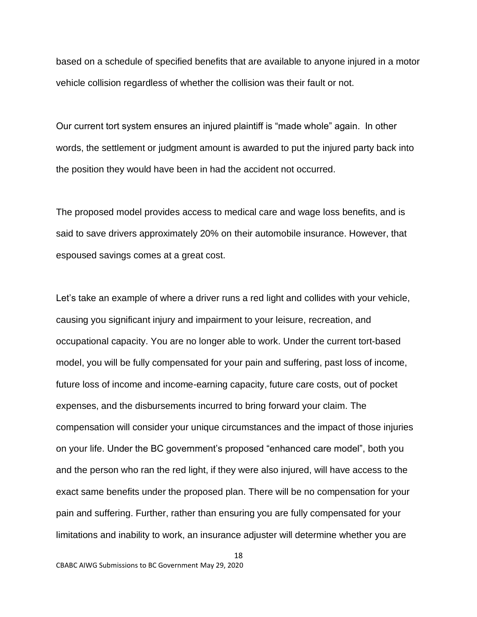based on a schedule of specified benefits that are available to anyone injured in a motor vehicle collision regardless of whether the collision was their fault or not.

Our current tort system ensures an injured plaintiff is "made whole" again. In other words, the settlement or judgment amount is awarded to put the injured party back into the position they would have been in had the accident not occurred.

The proposed model provides access to medical care and wage loss benefits, and is said to save drivers approximately 20% on their automobile insurance. However, that espoused savings comes at a great cost.

Let's take an example of where a driver runs a red light and collides with your vehicle, causing you significant injury and impairment to your leisure, recreation, and occupational capacity. You are no longer able to work. Under the current tort-based model, you will be fully compensated for your pain and suffering, past loss of income, future loss of income and income-earning capacity, future care costs, out of pocket expenses, and the disbursements incurred to bring forward your claim. The compensation will consider your unique circumstances and the impact of those injuries on your life. Under the BC government's proposed "enhanced care model", both you and the person who ran the red light, if they were also injured, will have access to the exact same benefits under the proposed plan. There will be no compensation for your pain and suffering. Further, rather than ensuring you are fully compensated for your limitations and inability to work, an insurance adjuster will determine whether you are

18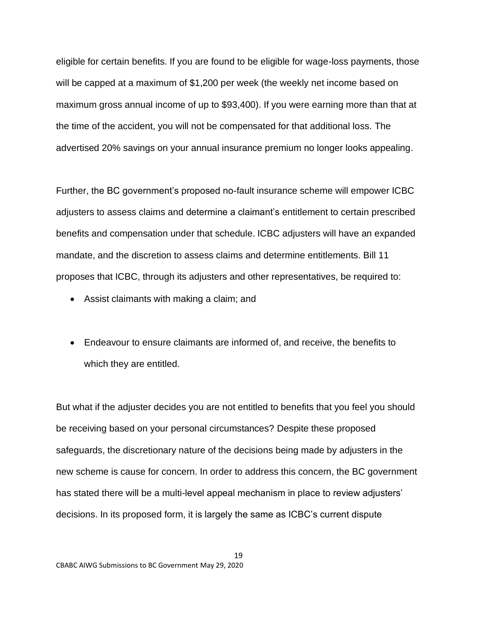eligible for certain benefits. If you are found to be eligible for wage-loss payments, those will be capped at a maximum of \$1,200 per week (the weekly net income based on maximum gross annual income of up to \$93,400). If you were earning more than that at the time of the accident, you will not be compensated for that additional loss. The advertised 20% savings on your annual insurance premium no longer looks appealing.

Further, the BC government's proposed no-fault insurance scheme will empower ICBC adjusters to assess claims and determine a claimant's entitlement to certain prescribed benefits and compensation under that schedule. ICBC adjusters will have an expanded mandate, and the discretion to assess claims and determine entitlements. Bill 11 proposes that ICBC, through its adjusters and other representatives, be required to:

- Assist claimants with making a claim; and
- Endeavour to ensure claimants are informed of, and receive, the benefits to which they are entitled.

But what if the adjuster decides you are not entitled to benefits that you feel you should be receiving based on your personal circumstances? Despite these proposed safeguards, the discretionary nature of the decisions being made by adjusters in the new scheme is cause for concern. In order to address this concern, the BC government has stated there will be a multi-level appeal mechanism in place to review adjusters' decisions. In its proposed form, it is largely the same as ICBC's current dispute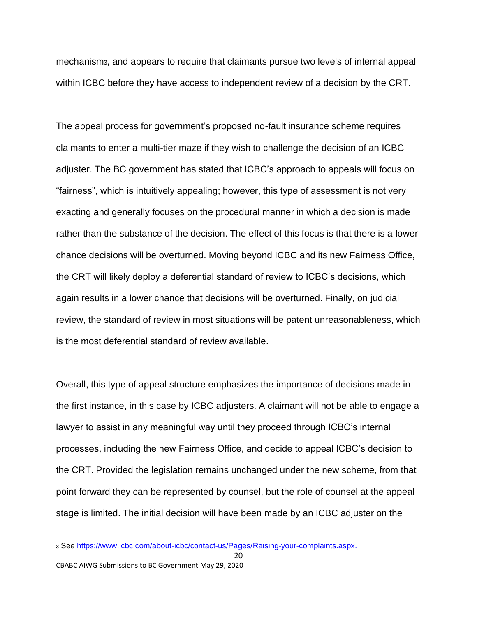mechanism3, and appears to require that claimants pursue two levels of internal appeal within ICBC before they have access to independent review of a decision by the CRT.

The appeal process for government's proposed no-fault insurance scheme requires claimants to enter a multi-tier maze if they wish to challenge the decision of an ICBC adjuster. The BC government has stated that ICBC's approach to appeals will focus on "fairness", which is intuitively appealing; however, this type of assessment is not very exacting and generally focuses on the procedural manner in which a decision is made rather than the substance of the decision. The effect of this focus is that there is a lower chance decisions will be overturned. Moving beyond ICBC and its new Fairness Office, the CRT will likely deploy a deferential standard of review to ICBC's decisions, which again results in a lower chance that decisions will be overturned. Finally, on judicial review, the standard of review in most situations will be patent unreasonableness, which is the most deferential standard of review available.

Overall, this type of appeal structure emphasizes the importance of decisions made in the first instance, in this case by ICBC adjusters. A claimant will not be able to engage a lawyer to assist in any meaningful way until they proceed through ICBC's internal processes, including the new Fairness Office, and decide to appeal ICBC's decision to the CRT. Provided the legislation remains unchanged under the new scheme, from that point forward they can be represented by counsel, but the role of counsel at the appeal stage is limited. The initial decision will have been made by an ICBC adjuster on the

<sup>3</sup> See [https://www.icbc.com/about-icbc/contact-us/Pages/Raising-your-complaints.aspx.](https://www.icbc.com/about-icbc/contact-us/Pages/Raising-your-complaints.aspx)

CBABC AIWG Submissions to BC Government May 29, 2020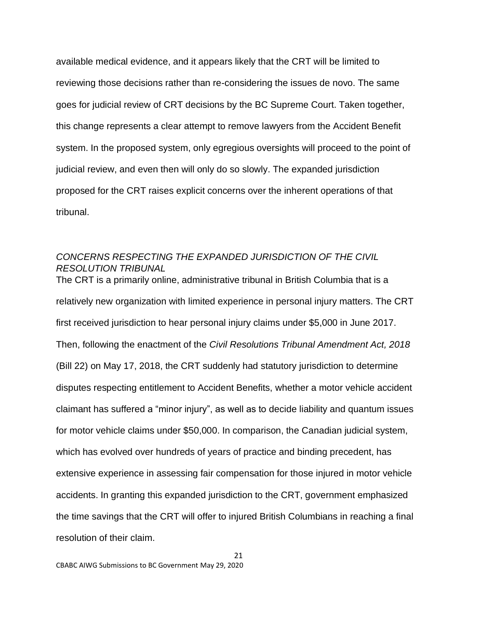available medical evidence, and it appears likely that the CRT will be limited to reviewing those decisions rather than re-considering the issues de novo. The same goes for judicial review of CRT decisions by the BC Supreme Court. Taken together, this change represents a clear attempt to remove lawyers from the Accident Benefit system. In the proposed system, only egregious oversights will proceed to the point of judicial review, and even then will only do so slowly. The expanded jurisdiction proposed for the CRT raises explicit concerns over the inherent operations of that tribunal.

### <span id="page-20-0"></span>*CONCERNS RESPECTING THE EXPANDED JURISDICTION OF THE CIVIL RESOLUTION TRIBUNAL*

The CRT is a primarily online, administrative tribunal in British Columbia that is a relatively new organization with limited experience in personal injury matters. The CRT first received jurisdiction to hear personal injury claims under \$5,000 in June 2017. Then, following the enactment of the *Civil Resolutions Tribunal Amendment Act, 2018*  (Bill 22) on May 17, 2018, the CRT suddenly had statutory jurisdiction to determine disputes respecting entitlement to Accident Benefits, whether a motor vehicle accident claimant has suffered a "minor injury", as well as to decide liability and quantum issues for motor vehicle claims under \$50,000. In comparison, the Canadian judicial system, which has evolved over hundreds of years of practice and binding precedent, has extensive experience in assessing fair compensation for those injured in motor vehicle accidents. In granting this expanded jurisdiction to the CRT, government emphasized the time savings that the CRT will offer to injured British Columbians in reaching a final resolution of their claim.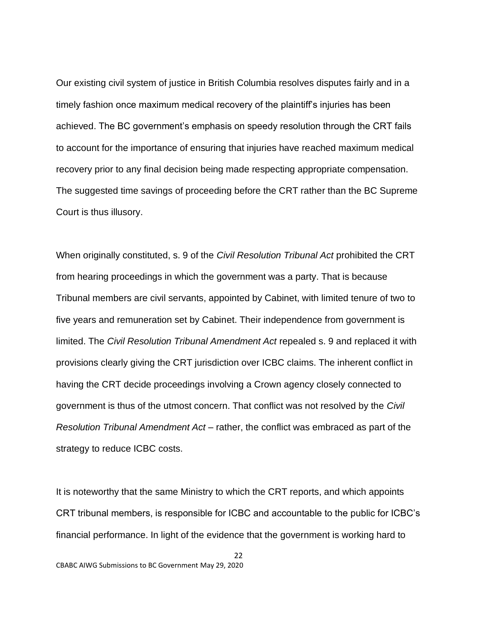Our existing civil system of justice in British Columbia resolves disputes fairly and in a timely fashion once maximum medical recovery of the plaintiff's injuries has been achieved. The BC government's emphasis on speedy resolution through the CRT fails to account for the importance of ensuring that injuries have reached maximum medical recovery prior to any final decision being made respecting appropriate compensation. The suggested time savings of proceeding before the CRT rather than the BC Supreme Court is thus illusory.

When originally constituted, s. 9 of the *Civil Resolution Tribunal Act* prohibited the CRT from hearing proceedings in which the government was a party. That is because Tribunal members are civil servants, appointed by Cabinet, with limited tenure of two to five years and remuneration set by Cabinet. Their independence from government is limited. The *Civil Resolution Tribunal Amendment Act* repealed s. 9 and replaced it with provisions clearly giving the CRT jurisdiction over ICBC claims. The inherent conflict in having the CRT decide proceedings involving a Crown agency closely connected to government is thus of the utmost concern. That conflict was not resolved by the *Civil Resolution Tribunal Amendment Act* – rather, the conflict was embraced as part of the strategy to reduce ICBC costs.

It is noteworthy that the same Ministry to which the CRT reports, and which appoints CRT tribunal members, is responsible for ICBC and accountable to the public for ICBC's financial performance. In light of the evidence that the government is working hard to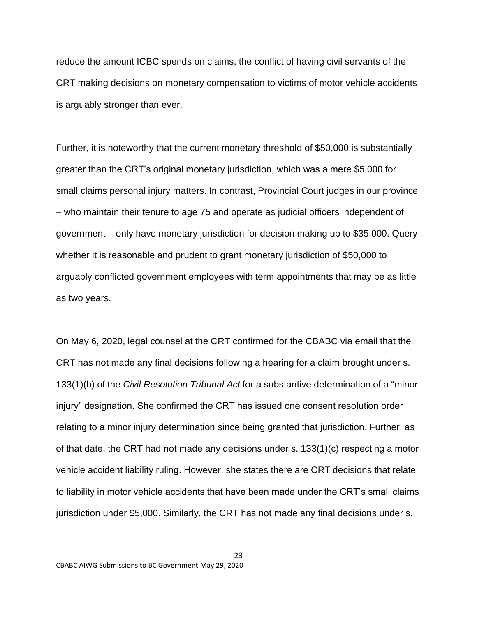reduce the amount ICBC spends on claims, the conflict of having civil servants of the CRT making decisions on monetary compensation to victims of motor vehicle accidents is arguably stronger than ever.

Further, it is noteworthy that the current monetary threshold of \$50,000 is substantially greater than the CRT's original monetary jurisdiction, which was a mere \$5,000 for small claims personal injury matters. In contrast, Provincial Court judges in our province – who maintain their tenure to age 75 and operate as judicial officers independent of government – only have monetary jurisdiction for decision making up to \$35,000. Query whether it is reasonable and prudent to grant monetary jurisdiction of \$50,000 to arguably conflicted government employees with term appointments that may be as little as two years.

On May 6, 2020, legal counsel at the CRT confirmed for the CBABC via email that the CRT has not made any final decisions following a hearing for a claim brought under s. 133(1)(b) of the *Civil Resolution Tribunal Act* for a substantive determination of a "minor injury" designation. She confirmed the CRT has issued one consent resolution order relating to a minor injury determination since being granted that jurisdiction. Further, as of that date, the CRT had not made any decisions under s. 133(1)(c) respecting a motor vehicle accident liability ruling. However, she states there are CRT decisions that relate to liability in motor vehicle accidents that have been made under the CRT's small claims jurisdiction under \$5,000. Similarly, the CRT has not made any final decisions under s.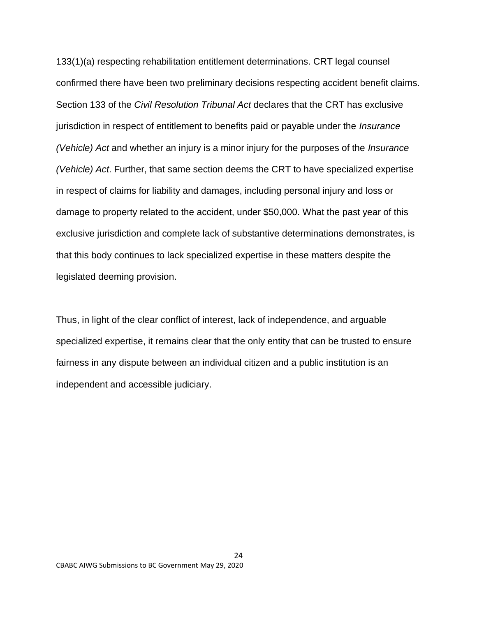133(1)(a) respecting rehabilitation entitlement determinations. CRT legal counsel confirmed there have been two preliminary decisions respecting accident benefit claims. Section 133 of the *Civil Resolution Tribunal Act* declares that the CRT has exclusive jurisdiction in respect of entitlement to benefits paid or payable under the *Insurance (Vehicle) Act* and whether an injury is a minor injury for the purposes of the *Insurance (Vehicle) Act*. Further, that same section deems the CRT to have specialized expertise in respect of claims for liability and damages, including personal injury and loss or damage to property related to the accident, under \$50,000. What the past year of this exclusive jurisdiction and complete lack of substantive determinations demonstrates, is that this body continues to lack specialized expertise in these matters despite the legislated deeming provision.

Thus, in light of the clear conflict of interest, lack of independence, and arguable specialized expertise, it remains clear that the only entity that can be trusted to ensure fairness in any dispute between an individual citizen and a public institution is an independent and accessible judiciary.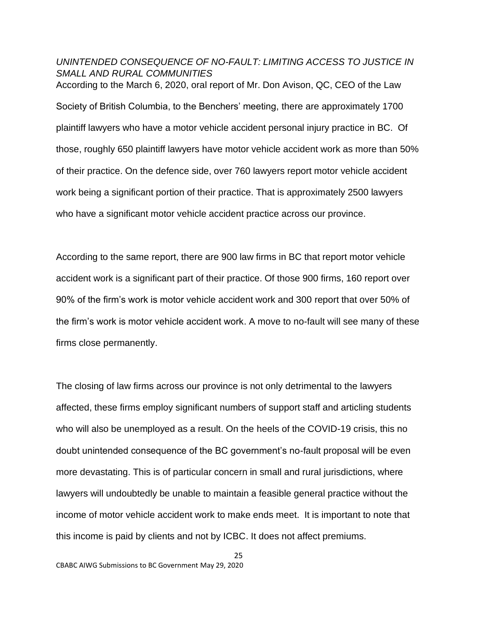# <span id="page-24-0"></span>*UNINTENDED CONSEQUENCE OF NO-FAULT: LIMITING ACCESS TO JUSTICE IN SMALL AND RURAL COMMUNITIES*

According to the March 6, 2020, oral report of Mr. Don Avison, QC, CEO of the Law Society of British Columbia, to the Benchers' meeting, there are approximately 1700 plaintiff lawyers who have a motor vehicle accident personal injury practice in BC. Of those, roughly 650 plaintiff lawyers have motor vehicle accident work as more than 50% of their practice. On the defence side, over 760 lawyers report motor vehicle accident work being a significant portion of their practice. That is approximately 2500 lawyers who have a significant motor vehicle accident practice across our province.

According to the same report, there are 900 law firms in BC that report motor vehicle accident work is a significant part of their practice. Of those 900 firms, 160 report over 90% of the firm's work is motor vehicle accident work and 300 report that over 50% of the firm's work is motor vehicle accident work. A move to no-fault will see many of these firms close permanently.

The closing of law firms across our province is not only detrimental to the lawyers affected, these firms employ significant numbers of support staff and articling students who will also be unemployed as a result. On the heels of the COVID-19 crisis, this no doubt unintended consequence of the BC government's no-fault proposal will be even more devastating. This is of particular concern in small and rural jurisdictions, where lawyers will undoubtedly be unable to maintain a feasible general practice without the income of motor vehicle accident work to make ends meet. It is important to note that this income is paid by clients and not by ICBC. It does not affect premiums.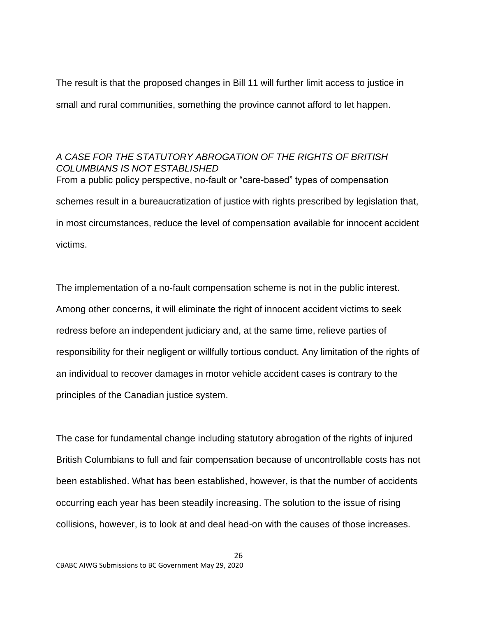The result is that the proposed changes in Bill 11 will further limit access to justice in small and rural communities, something the province cannot afford to let happen.

# <span id="page-25-0"></span>*A CASE FOR THE STATUTORY ABROGATION OF THE RIGHTS OF BRITISH COLUMBIANS IS NOT ESTABLISHED* From a public policy perspective, no-fault or "care-based" types of compensation schemes result in a bureaucratization of justice with rights prescribed by legislation that,

in most circumstances, reduce the level of compensation available for innocent accident victims.

The implementation of a no-fault compensation scheme is not in the public interest. Among other concerns, it will eliminate the right of innocent accident victims to seek redress before an independent judiciary and, at the same time, relieve parties of responsibility for their negligent or willfully tortious conduct. Any limitation of the rights of an individual to recover damages in motor vehicle accident cases is contrary to the principles of the Canadian justice system.

The case for fundamental change including statutory abrogation of the rights of injured British Columbians to full and fair compensation because of uncontrollable costs has not been established. What has been established, however, is that the number of accidents occurring each year has been steadily increasing. The solution to the issue of rising collisions, however, is to look at and deal head-on with the causes of those increases.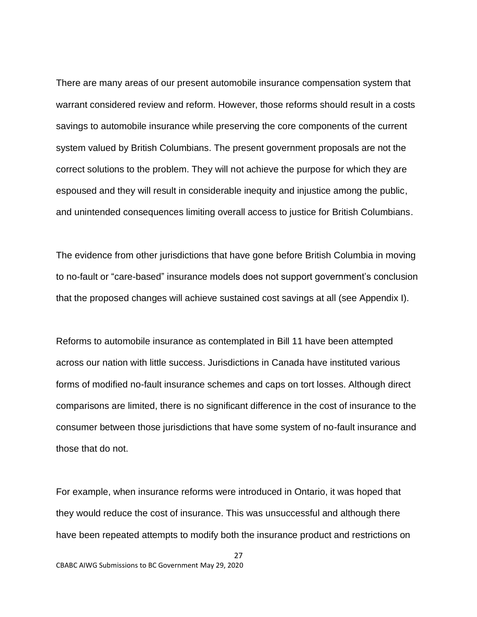There are many areas of our present automobile insurance compensation system that warrant considered review and reform. However, those reforms should result in a costs savings to automobile insurance while preserving the core components of the current system valued by British Columbians. The present government proposals are not the correct solutions to the problem. They will not achieve the purpose for which they are espoused and they will result in considerable inequity and injustice among the public, and unintended consequences limiting overall access to justice for British Columbians.

The evidence from other jurisdictions that have gone before British Columbia in moving to no-fault or "care-based" insurance models does not support government's conclusion that the proposed changes will achieve sustained cost savings at all (see Appendix I).

Reforms to automobile insurance as contemplated in Bill 11 have been attempted across our nation with little success. Jurisdictions in Canada have instituted various forms of modified no-fault insurance schemes and caps on tort losses. Although direct comparisons are limited, there is no significant difference in the cost of insurance to the consumer between those jurisdictions that have some system of no-fault insurance and those that do not.

For example, when insurance reforms were introduced in Ontario, it was hoped that they would reduce the cost of insurance. This was unsuccessful and although there have been repeated attempts to modify both the insurance product and restrictions on

27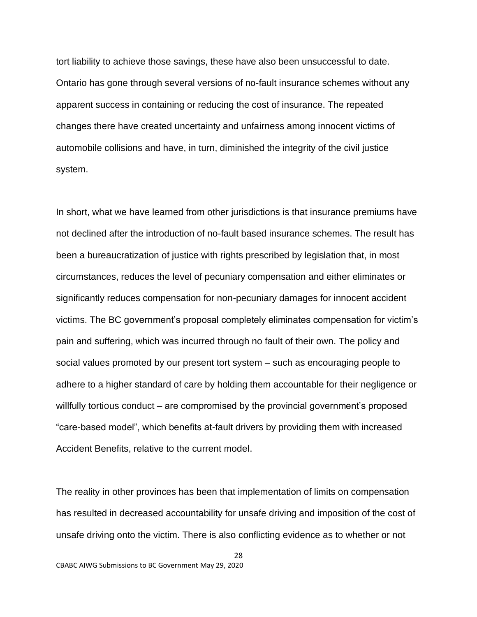tort liability to achieve those savings, these have also been unsuccessful to date. Ontario has gone through several versions of no-fault insurance schemes without any apparent success in containing or reducing the cost of insurance. The repeated changes there have created uncertainty and unfairness among innocent victims of automobile collisions and have, in turn, diminished the integrity of the civil justice system.

In short, what we have learned from other jurisdictions is that insurance premiums have not declined after the introduction of no-fault based insurance schemes. The result has been a bureaucratization of justice with rights prescribed by legislation that, in most circumstances, reduces the level of pecuniary compensation and either eliminates or significantly reduces compensation for non-pecuniary damages for innocent accident victims. The BC government's proposal completely eliminates compensation for victim's pain and suffering, which was incurred through no fault of their own. The policy and social values promoted by our present tort system – such as encouraging people to adhere to a higher standard of care by holding them accountable for their negligence or willfully tortious conduct – are compromised by the provincial government's proposed "care-based model", which benefits at-fault drivers by providing them with increased Accident Benefits, relative to the current model.

The reality in other provinces has been that implementation of limits on compensation has resulted in decreased accountability for unsafe driving and imposition of the cost of unsafe driving onto the victim. There is also conflicting evidence as to whether or not

28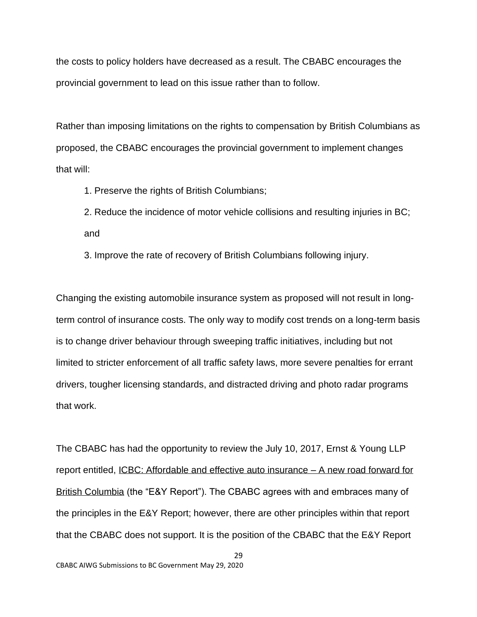the costs to policy holders have decreased as a result. The CBABC encourages the provincial government to lead on this issue rather than to follow.

Rather than imposing limitations on the rights to compensation by British Columbians as proposed, the CBABC encourages the provincial government to implement changes that will:

1. Preserve the rights of British Columbians;

2. Reduce the incidence of motor vehicle collisions and resulting injuries in BC; and

3. Improve the rate of recovery of British Columbians following injury.

Changing the existing automobile insurance system as proposed will not result in longterm control of insurance costs. The only way to modify cost trends on a long-term basis is to change driver behaviour through sweeping traffic initiatives, including but not limited to stricter enforcement of all traffic safety laws, more severe penalties for errant drivers, tougher licensing standards, and distracted driving and photo radar programs that work.

The CBABC has had the opportunity to review the July 10, 2017, Ernst & Young LLP report entitled, ICBC: Affordable and effective auto insurance – A new road forward for British Columbia (the "E&Y Report"). The CBABC agrees with and embraces many of the principles in the E&Y Report; however, there are other principles within that report that the CBABC does not support. It is the position of the CBABC that the E&Y Report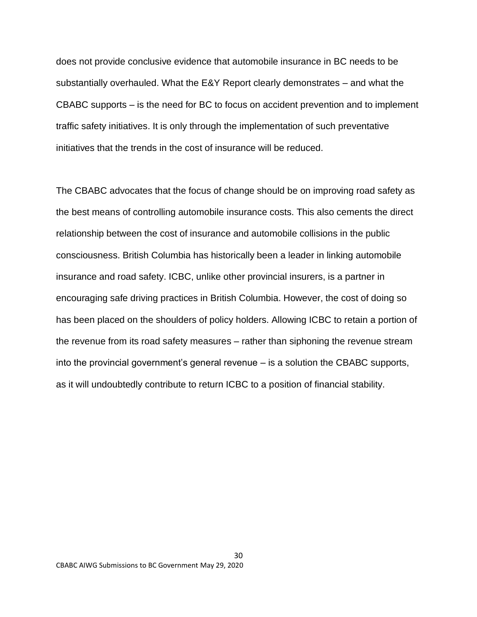does not provide conclusive evidence that automobile insurance in BC needs to be substantially overhauled. What the E&Y Report clearly demonstrates – and what the CBABC supports – is the need for BC to focus on accident prevention and to implement traffic safety initiatives. It is only through the implementation of such preventative initiatives that the trends in the cost of insurance will be reduced.

The CBABC advocates that the focus of change should be on improving road safety as the best means of controlling automobile insurance costs. This also cements the direct relationship between the cost of insurance and automobile collisions in the public consciousness. British Columbia has historically been a leader in linking automobile insurance and road safety. ICBC, unlike other provincial insurers, is a partner in encouraging safe driving practices in British Columbia. However, the cost of doing so has been placed on the shoulders of policy holders. Allowing ICBC to retain a portion of the revenue from its road safety measures – rather than siphoning the revenue stream into the provincial government's general revenue – is a solution the CBABC supports, as it will undoubtedly contribute to return ICBC to a position of financial stability.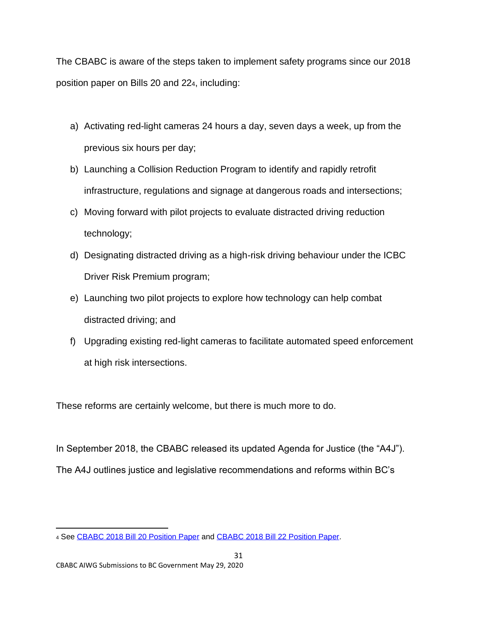The CBABC is aware of the steps taken to implement safety programs since our 2018 position paper on Bills 20 and 224, including:

- a) Activating red-light cameras 24 hours a day, seven days a week, up from the previous six hours per day;
- b) Launching a Collision Reduction Program to identify and rapidly retrofit infrastructure, regulations and signage at dangerous roads and intersections;
- c) Moving forward with pilot projects to evaluate distracted driving reduction technology;
- d) Designating distracted driving as a high-risk driving behaviour under the ICBC Driver Risk Premium program;
- e) Launching two pilot projects to explore how technology can help combat distracted driving; and
- f) Upgrading existing red-light cameras to facilitate automated speed enforcement at high risk intersections.

These reforms are certainly welcome, but there is much more to do.

In September 2018, the CBABC released its updated Agenda for Justice (the "A4J"). The A4J outlines justice and legislative recommendations and reforms within BC's

<sup>4</sup> See [CBABC 2018 Bill 20 Position Paper](https://www.cbabc.org/CMSPages/GetFile.aspx?guid=c8915bf0-132a-4fc5-af77-dbb5782b6c3b) and [CBABC 2018 Bill 22 Position Paper.](https://www.cbabc.org/CMSPages/GetFile.aspx?guid=7780205c-d5e1-4611-97b1-7458b193813e)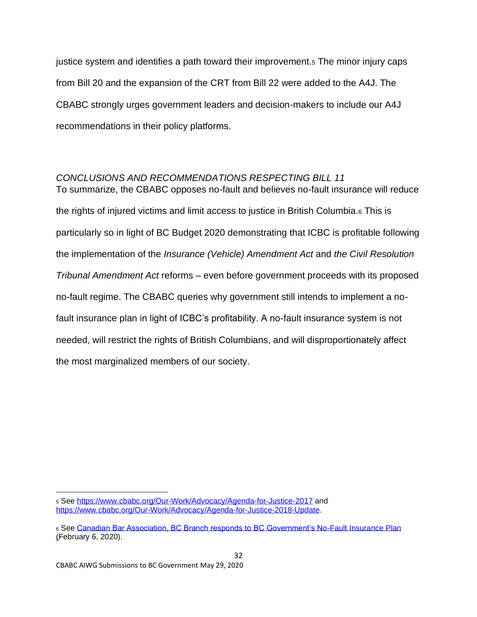justice system and identifies a path toward their improvement.<sup>5</sup> The minor injury caps from Bill 20 and the expansion of the CRT from Bill 22 were added to the A4J. The CBABC strongly urges government leaders and decision-makers to include our A4J recommendations in their policy platforms.

# <span id="page-31-0"></span>*CONCLUSIONS AND RECOMMENDATIONS RESPECTING BILL 11*

To summarize, the CBABC opposes no-fault and believes no-fault insurance will reduce the rights of injured victims and limit access to justice in British Columbia.<sup>6</sup> This is particularly so in light of BC Budget 2020 demonstrating that ICBC is profitable following the implementation of the *Insurance (Vehicle) Amendment Act* and *the Civil Resolution Tribunal Amendment Act* reforms – even before government proceeds with its proposed no-fault regime. The CBABC queries why government still intends to implement a nofault insurance plan in light of ICBC's profitability. A no-fault insurance system is not needed, will restrict the rights of British Columbians, and will disproportionately affect the most marginalized members of our society.

<sup>5</sup> See<https://www.cbabc.org/Our-Work/Advocacy/Agenda-for-Justice-2017> and [https://www.cbabc.org/Our-Work/Advocacy/Agenda-for-Justice-2018-Update.](https://www.cbabc.org/Our-Work/Advocacy/Agenda-for-Justice-2018-Update)

<sup>6</sup> See [Canadian Bar Association, BC Branch responds to BC Government's No-Fault Insurance Plan](https://www.cbabc.org/News-Media/Media-Releases/2020/CBABC-Branch-responds-to-BC-Government-No-Fault) (February 6, 2020).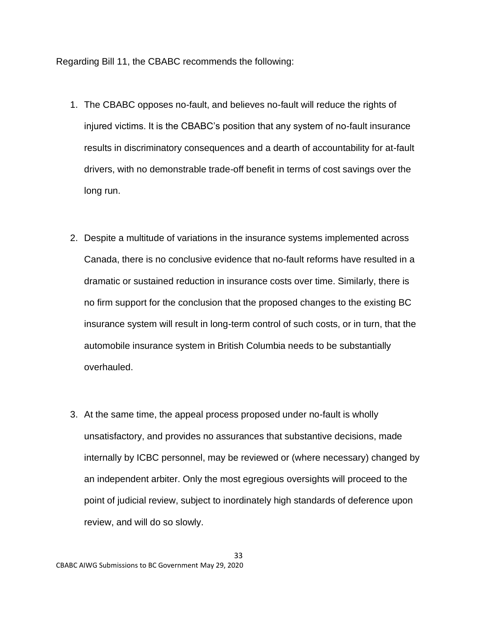Regarding Bill 11, the CBABC recommends the following:

- 1. The CBABC opposes no-fault, and believes no-fault will reduce the rights of injured victims. It is the CBABC's position that any system of no-fault insurance results in discriminatory consequences and a dearth of accountability for at-fault drivers, with no demonstrable trade-off benefit in terms of cost savings over the long run.
- 2. Despite a multitude of variations in the insurance systems implemented across Canada, there is no conclusive evidence that no-fault reforms have resulted in a dramatic or sustained reduction in insurance costs over time. Similarly, there is no firm support for the conclusion that the proposed changes to the existing BC insurance system will result in long-term control of such costs, or in turn, that the automobile insurance system in British Columbia needs to be substantially overhauled.
- 3. At the same time, the appeal process proposed under no-fault is wholly unsatisfactory, and provides no assurances that substantive decisions, made internally by ICBC personnel, may be reviewed or (where necessary) changed by an independent arbiter. Only the most egregious oversights will proceed to the point of judicial review, subject to inordinately high standards of deference upon review, and will do so slowly.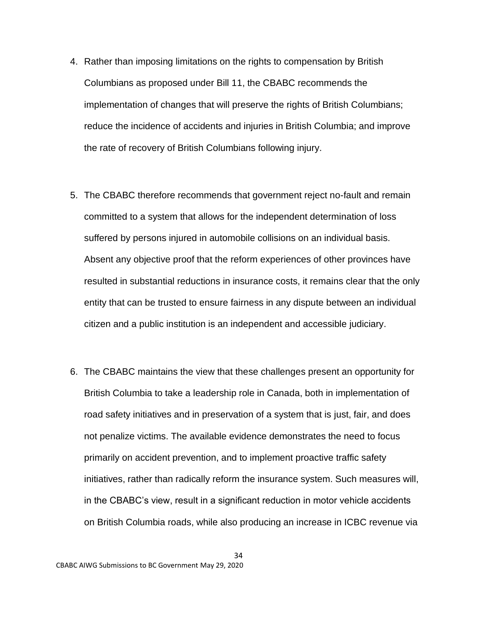- 4. Rather than imposing limitations on the rights to compensation by British Columbians as proposed under Bill 11, the CBABC recommends the implementation of changes that will preserve the rights of British Columbians; reduce the incidence of accidents and injuries in British Columbia; and improve the rate of recovery of British Columbians following injury.
- 5. The CBABC therefore recommends that government reject no-fault and remain committed to a system that allows for the independent determination of loss suffered by persons injured in automobile collisions on an individual basis. Absent any objective proof that the reform experiences of other provinces have resulted in substantial reductions in insurance costs, it remains clear that the only entity that can be trusted to ensure fairness in any dispute between an individual citizen and a public institution is an independent and accessible judiciary.
- 6. The CBABC maintains the view that these challenges present an opportunity for British Columbia to take a leadership role in Canada, both in implementation of road safety initiatives and in preservation of a system that is just, fair, and does not penalize victims. The available evidence demonstrates the need to focus primarily on accident prevention, and to implement proactive traffic safety initiatives, rather than radically reform the insurance system. Such measures will, in the CBABC's view, result in a significant reduction in motor vehicle accidents on British Columbia roads, while also producing an increase in ICBC revenue via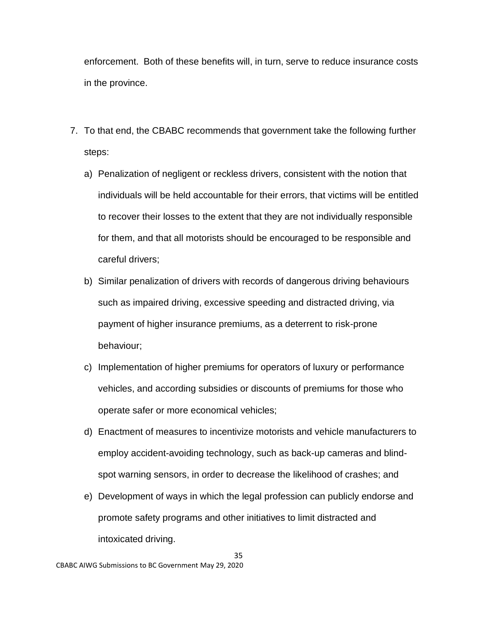enforcement. Both of these benefits will, in turn, serve to reduce insurance costs in the province.

- 7. To that end, the CBABC recommends that government take the following further steps:
	- a) Penalization of negligent or reckless drivers, consistent with the notion that individuals will be held accountable for their errors, that victims will be entitled to recover their losses to the extent that they are not individually responsible for them, and that all motorists should be encouraged to be responsible and careful drivers;
	- b) Similar penalization of drivers with records of dangerous driving behaviours such as impaired driving, excessive speeding and distracted driving, via payment of higher insurance premiums, as a deterrent to risk-prone behaviour;
	- c) Implementation of higher premiums for operators of luxury or performance vehicles, and according subsidies or discounts of premiums for those who operate safer or more economical vehicles;
	- d) Enactment of measures to incentivize motorists and vehicle manufacturers to employ accident-avoiding technology, such as back-up cameras and blindspot warning sensors, in order to decrease the likelihood of crashes; and
	- e) Development of ways in which the legal profession can publicly endorse and promote safety programs and other initiatives to limit distracted and intoxicated driving.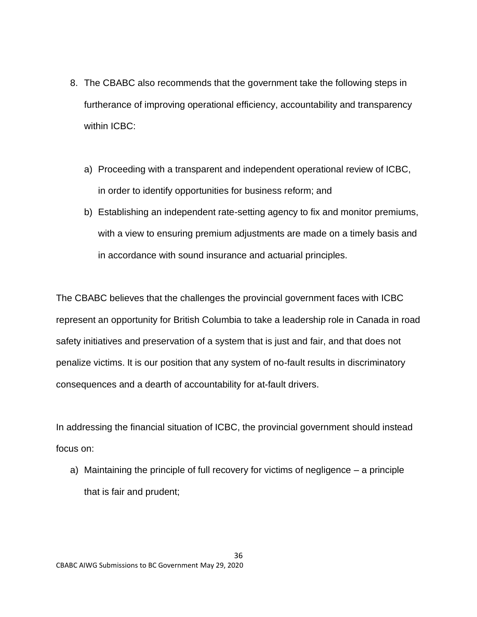- 8. The CBABC also recommends that the government take the following steps in furtherance of improving operational efficiency, accountability and transparency within ICBC:
	- a) Proceeding with a transparent and independent operational review of ICBC, in order to identify opportunities for business reform; and
	- b) Establishing an independent rate-setting agency to fix and monitor premiums, with a view to ensuring premium adjustments are made on a timely basis and in accordance with sound insurance and actuarial principles.

The CBABC believes that the challenges the provincial government faces with ICBC represent an opportunity for British Columbia to take a leadership role in Canada in road safety initiatives and preservation of a system that is just and fair, and that does not penalize victims. It is our position that any system of no-fault results in discriminatory consequences and a dearth of accountability for at-fault drivers.

In addressing the financial situation of ICBC, the provincial government should instead focus on:

a) Maintaining the principle of full recovery for victims of negligence – a principle that is fair and prudent;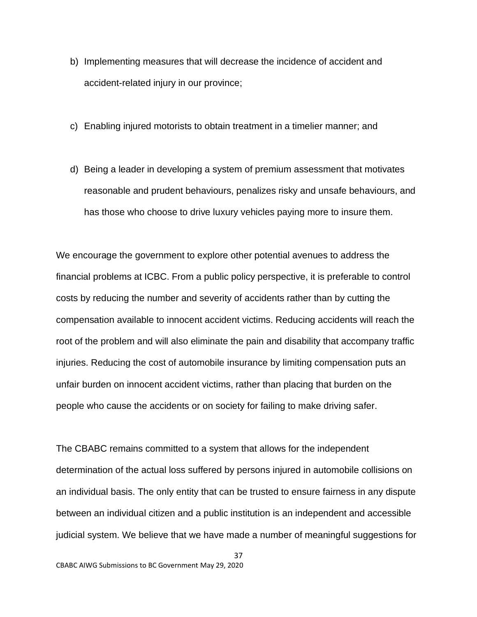- b) Implementing measures that will decrease the incidence of accident and accident-related injury in our province;
- c) Enabling injured motorists to obtain treatment in a timelier manner; and
- d) Being a leader in developing a system of premium assessment that motivates reasonable and prudent behaviours, penalizes risky and unsafe behaviours, and has those who choose to drive luxury vehicles paying more to insure them.

We encourage the government to explore other potential avenues to address the financial problems at ICBC. From a public policy perspective, it is preferable to control costs by reducing the number and severity of accidents rather than by cutting the compensation available to innocent accident victims. Reducing accidents will reach the root of the problem and will also eliminate the pain and disability that accompany traffic injuries. Reducing the cost of automobile insurance by limiting compensation puts an unfair burden on innocent accident victims, rather than placing that burden on the people who cause the accidents or on society for failing to make driving safer.

The CBABC remains committed to a system that allows for the independent determination of the actual loss suffered by persons injured in automobile collisions on an individual basis. The only entity that can be trusted to ensure fairness in any dispute between an individual citizen and a public institution is an independent and accessible judicial system. We believe that we have made a number of meaningful suggestions for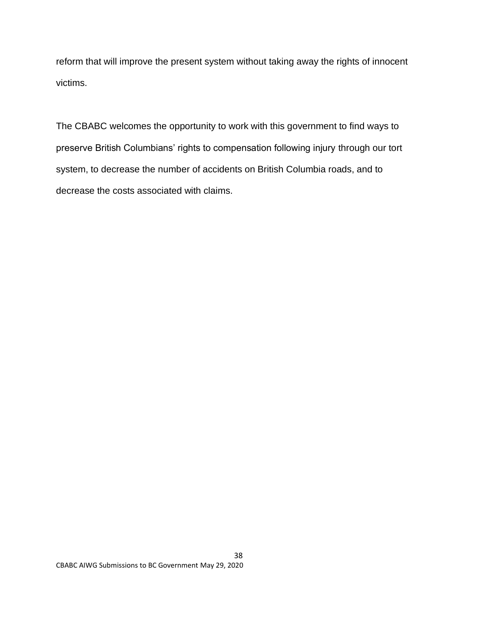reform that will improve the present system without taking away the rights of innocent victims.

The CBABC welcomes the opportunity to work with this government to find ways to preserve British Columbians' rights to compensation following injury through our tort system, to decrease the number of accidents on British Columbia roads, and to decrease the costs associated with claims.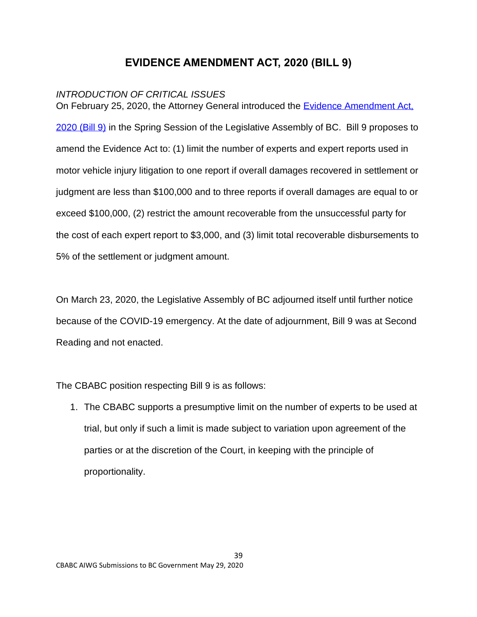# **EVIDENCE AMENDMENT ACT, 2020 (BILL 9)**

# <span id="page-38-1"></span><span id="page-38-0"></span>*INTRODUCTION OF CRITICAL ISSUES*

On February 25, 2020, the Attorney General introduced the Evidence Amendment Act, [2020 \(Bill 9\)](https://www.leg.bc.ca/parliamentary-business/legislation-debates-proceedings/41st-parliament/5th-session/bills/first-reading/gov09-1) in the Spring Session of the Legislative Assembly of BC. Bill 9 proposes to amend the Evidence Act to: (1) limit the number of experts and expert reports used in motor vehicle injury litigation to one report if overall damages recovered in settlement or judgment are less than \$100,000 and to three reports if overall damages are equal to or exceed \$100,000, (2) restrict the amount recoverable from the unsuccessful party for the cost of each expert report to \$3,000, and (3) limit total recoverable disbursements to 5% of the settlement or judgment amount.

On March 23, 2020, the Legislative Assembly of BC adjourned itself until further notice because of the COVID-19 emergency. At the date of adjournment, Bill 9 was at Second Reading and not enacted.

The CBABC position respecting Bill 9 is as follows:

1. The CBABC supports a presumptive limit on the number of experts to be used at trial, but only if such a limit is made subject to variation upon agreement of the parties or at the discretion of the Court, in keeping with the principle of proportionality.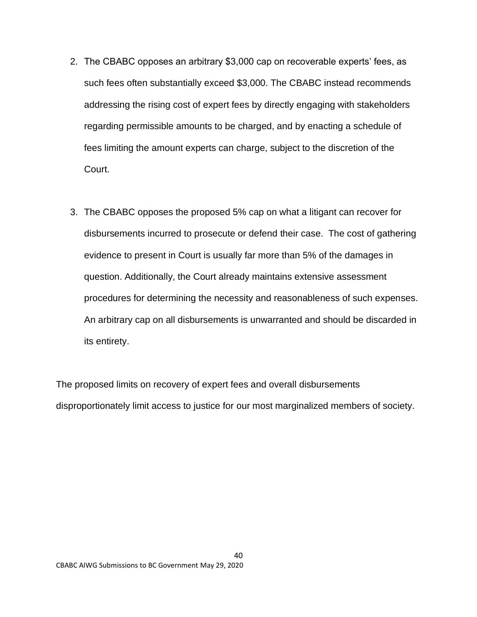- 2. The CBABC opposes an arbitrary \$3,000 cap on recoverable experts' fees, as such fees often substantially exceed \$3,000. The CBABC instead recommends addressing the rising cost of expert fees by directly engaging with stakeholders regarding permissible amounts to be charged, and by enacting a schedule of fees limiting the amount experts can charge, subject to the discretion of the Court.
- 3. The CBABC opposes the proposed 5% cap on what a litigant can recover for disbursements incurred to prosecute or defend their case. The cost of gathering evidence to present in Court is usually far more than 5% of the damages in question. Additionally, the Court already maintains extensive assessment procedures for determining the necessity and reasonableness of such expenses. An arbitrary cap on all disbursements is unwarranted and should be discarded in its entirety.

The proposed limits on recovery of expert fees and overall disbursements disproportionately limit access to justice for our most marginalized members of society.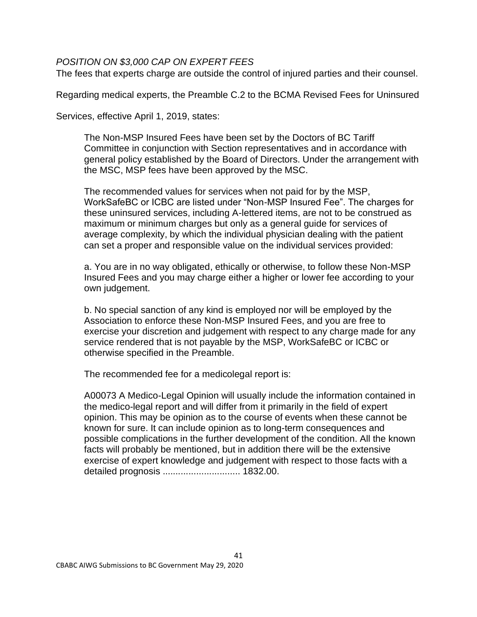### <span id="page-40-0"></span>*POSITION ON \$3,000 CAP ON EXPERT FEES*

The fees that experts charge are outside the control of injured parties and their counsel.

Regarding medical experts, the Preamble C.2 to the BCMA Revised Fees for Uninsured

Services, effective April 1, 2019, states:

The Non-MSP Insured Fees have been set by the Doctors of BC Tariff Committee in conjunction with Section representatives and in accordance with general policy established by the Board of Directors. Under the arrangement with the MSC, MSP fees have been approved by the MSC.

The recommended values for services when not paid for by the MSP, WorkSafeBC or ICBC are listed under "Non-MSP Insured Fee". The charges for these uninsured services, including A-lettered items, are not to be construed as maximum or minimum charges but only as a general guide for services of average complexity, by which the individual physician dealing with the patient can set a proper and responsible value on the individual services provided:

a. You are in no way obligated, ethically or otherwise, to follow these Non-MSP Insured Fees and you may charge either a higher or lower fee according to your own judgement.

b. No special sanction of any kind is employed nor will be employed by the Association to enforce these Non-MSP Insured Fees, and you are free to exercise your discretion and judgement with respect to any charge made for any service rendered that is not payable by the MSP, WorkSafeBC or ICBC or otherwise specified in the Preamble.

The recommended fee for a medicolegal report is:

A00073 A Medico-Legal Opinion will usually include the information contained in the medico-legal report and will differ from it primarily in the field of expert opinion. This may be opinion as to the course of events when these cannot be known for sure. It can include opinion as to long-term consequences and possible complications in the further development of the condition. All the known facts will probably be mentioned, but in addition there will be the extensive exercise of expert knowledge and judgement with respect to those facts with a detailed prognosis .............................. 1832.00.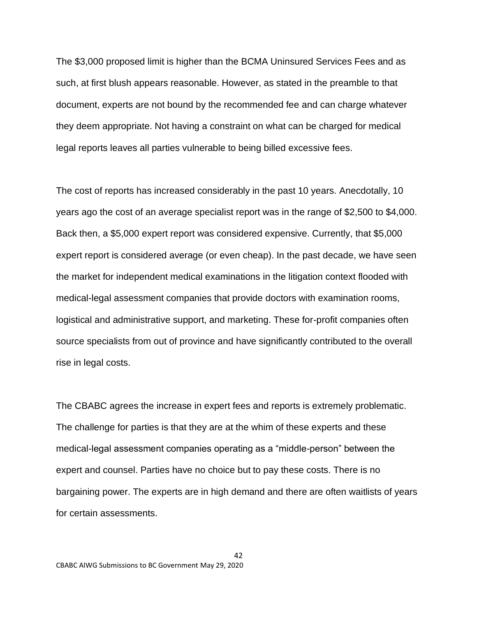The \$3,000 proposed limit is higher than the BCMA Uninsured Services Fees and as such, at first blush appears reasonable. However, as stated in the preamble to that document, experts are not bound by the recommended fee and can charge whatever they deem appropriate. Not having a constraint on what can be charged for medical legal reports leaves all parties vulnerable to being billed excessive fees.

The cost of reports has increased considerably in the past 10 years. Anecdotally, 10 years ago the cost of an average specialist report was in the range of \$2,500 to \$4,000. Back then, a \$5,000 expert report was considered expensive. Currently, that \$5,000 expert report is considered average (or even cheap). In the past decade, we have seen the market for independent medical examinations in the litigation context flooded with medical-legal assessment companies that provide doctors with examination rooms, logistical and administrative support, and marketing. These for-profit companies often source specialists from out of province and have significantly contributed to the overall rise in legal costs.

The CBABC agrees the increase in expert fees and reports is extremely problematic. The challenge for parties is that they are at the whim of these experts and these medical-legal assessment companies operating as a "middle-person" between the expert and counsel. Parties have no choice but to pay these costs. There is no bargaining power. The experts are in high demand and there are often waitlists of years for certain assessments.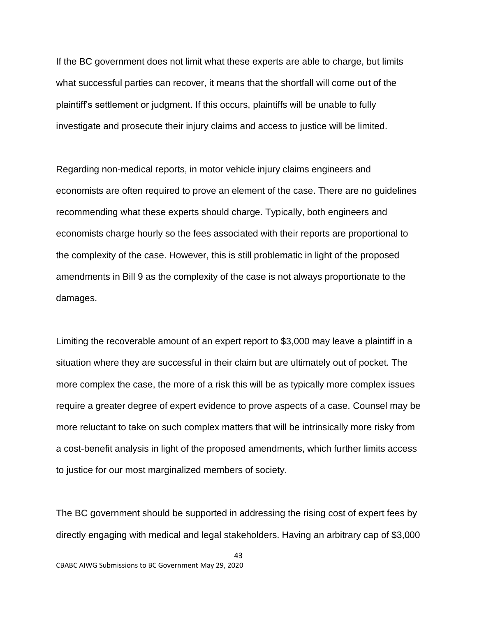If the BC government does not limit what these experts are able to charge, but limits what successful parties can recover, it means that the shortfall will come out of the plaintiff's settlement or judgment. If this occurs, plaintiffs will be unable to fully investigate and prosecute their injury claims and access to justice will be limited.

Regarding non-medical reports, in motor vehicle injury claims engineers and economists are often required to prove an element of the case. There are no guidelines recommending what these experts should charge. Typically, both engineers and economists charge hourly so the fees associated with their reports are proportional to the complexity of the case. However, this is still problematic in light of the proposed amendments in Bill 9 as the complexity of the case is not always proportionate to the damages.

Limiting the recoverable amount of an expert report to \$3,000 may leave a plaintiff in a situation where they are successful in their claim but are ultimately out of pocket. The more complex the case, the more of a risk this will be as typically more complex issues require a greater degree of expert evidence to prove aspects of a case. Counsel may be more reluctant to take on such complex matters that will be intrinsically more risky from a cost-benefit analysis in light of the proposed amendments, which further limits access to justice for our most marginalized members of society.

The BC government should be supported in addressing the rising cost of expert fees by directly engaging with medical and legal stakeholders. Having an arbitrary cap of \$3,000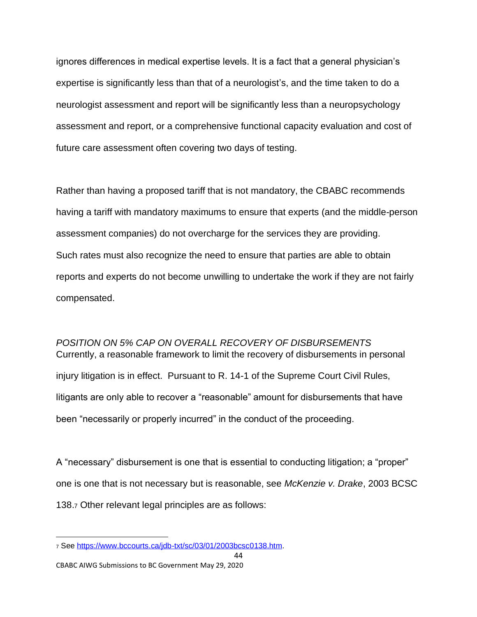ignores differences in medical expertise levels. It is a fact that a general physician's expertise is significantly less than that of a neurologist's, and the time taken to do a neurologist assessment and report will be significantly less than a neuropsychology assessment and report, or a comprehensive functional capacity evaluation and cost of future care assessment often covering two days of testing.

Rather than having a proposed tariff that is not mandatory, the CBABC recommends having a tariff with mandatory maximums to ensure that experts (and the middle-person assessment companies) do not overcharge for the services they are providing. Such rates must also recognize the need to ensure that parties are able to obtain reports and experts do not become unwilling to undertake the work if they are not fairly compensated.

<span id="page-43-0"></span>*POSITION ON 5% CAP ON OVERALL RECOVERY OF DISBURSEMENTS* Currently, a reasonable framework to limit the recovery of disbursements in personal injury litigation is in effect. Pursuant to R. 14-1 of the Supreme Court Civil Rules, litigants are only able to recover a "reasonable" amount for disbursements that have been "necessarily or properly incurred" in the conduct of the proceeding.

A "necessary" disbursement is one that is essential to conducting litigation; a "proper" one is one that is not necessary but is reasonable, see *McKenzie v. Drake*, 2003 BCSC 138.<sup>7</sup> Other relevant legal principles are as follows:

<sup>7</sup> See [https://www.bccourts.ca/jdb-txt/sc/03/01/2003bcsc0138.htm.](https://www.bccourts.ca/jdb-txt/sc/03/01/2003bcsc0138.htm)

CBABC AIWG Submissions to BC Government May 29, 2020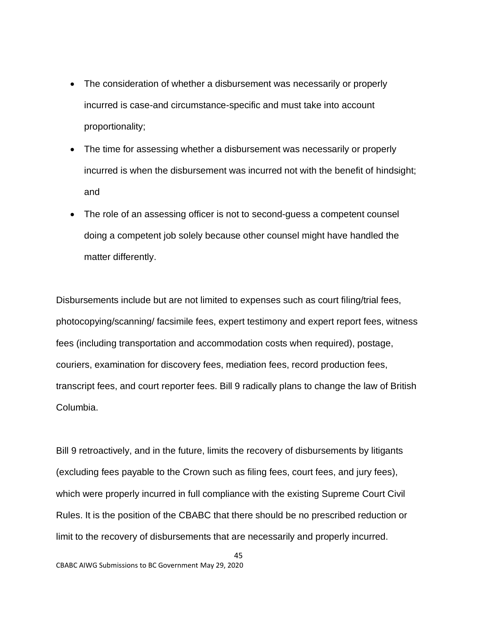- The consideration of whether a disbursement was necessarily or properly incurred is case-and circumstance-specific and must take into account proportionality;
- The time for assessing whether a disbursement was necessarily or properly incurred is when the disbursement was incurred not with the benefit of hindsight; and
- The role of an assessing officer is not to second-guess a competent counsel doing a competent job solely because other counsel might have handled the matter differently.

Disbursements include but are not limited to expenses such as court filing/trial fees, photocopying/scanning/ facsimile fees, expert testimony and expert report fees, witness fees (including transportation and accommodation costs when required), postage, couriers, examination for discovery fees, mediation fees, record production fees, transcript fees, and court reporter fees. Bill 9 radically plans to change the law of British Columbia.

Bill 9 retroactively, and in the future, limits the recovery of disbursements by litigants (excluding fees payable to the Crown such as filing fees, court fees, and jury fees), which were properly incurred in full compliance with the existing Supreme Court Civil Rules. It is the position of the CBABC that there should be no prescribed reduction or limit to the recovery of disbursements that are necessarily and properly incurred.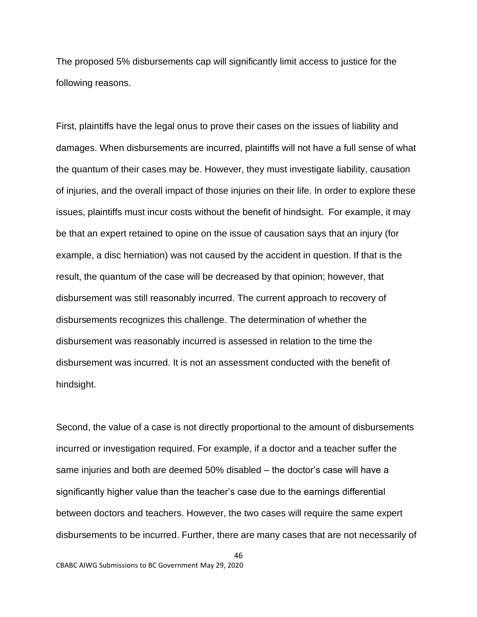The proposed 5% disbursements cap will significantly limit access to justice for the following reasons.

First, plaintiffs have the legal onus to prove their cases on the issues of liability and damages. When disbursements are incurred, plaintiffs will not have a full sense of what the quantum of their cases may be. However, they must investigate liability, causation of injuries, and the overall impact of those injuries on their life. In order to explore these issues, plaintiffs must incur costs without the benefit of hindsight. For example, it may be that an expert retained to opine on the issue of causation says that an injury (for example, a disc herniation) was not caused by the accident in question. If that is the result, the quantum of the case will be decreased by that opinion; however, that disbursement was still reasonably incurred. The current approach to recovery of disbursements recognizes this challenge. The determination of whether the disbursement was reasonably incurred is assessed in relation to the time the disbursement was incurred. It is not an assessment conducted with the benefit of hindsight.

Second, the value of a case is not directly proportional to the amount of disbursements incurred or investigation required. For example, if a doctor and a teacher suffer the same injuries and both are deemed 50% disabled – the doctor's case will have a significantly higher value than the teacher's case due to the earnings differential between doctors and teachers. However, the two cases will require the same expert disbursements to be incurred. Further, there are many cases that are not necessarily of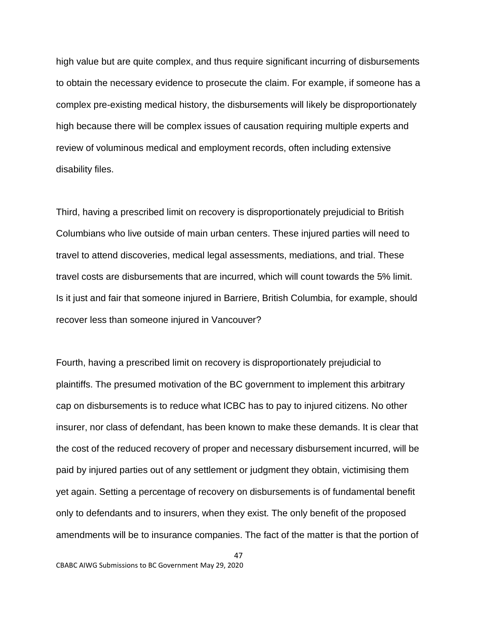high value but are quite complex, and thus require significant incurring of disbursements to obtain the necessary evidence to prosecute the claim. For example, if someone has a complex pre-existing medical history, the disbursements will likely be disproportionately high because there will be complex issues of causation requiring multiple experts and review of voluminous medical and employment records, often including extensive disability files.

Third, having a prescribed limit on recovery is disproportionately prejudicial to British Columbians who live outside of main urban centers. These injured parties will need to travel to attend discoveries, medical legal assessments, mediations, and trial. These travel costs are disbursements that are incurred, which will count towards the 5% limit. Is it just and fair that someone injured in Barriere, British Columbia, for example, should recover less than someone injured in Vancouver?

Fourth, having a prescribed limit on recovery is disproportionately prejudicial to plaintiffs. The presumed motivation of the BC government to implement this arbitrary cap on disbursements is to reduce what ICBC has to pay to injured citizens. No other insurer, nor class of defendant, has been known to make these demands. It is clear that the cost of the reduced recovery of proper and necessary disbursement incurred, will be paid by injured parties out of any settlement or judgment they obtain, victimising them yet again. Setting a percentage of recovery on disbursements is of fundamental benefit only to defendants and to insurers, when they exist. The only benefit of the proposed amendments will be to insurance companies. The fact of the matter is that the portion of

47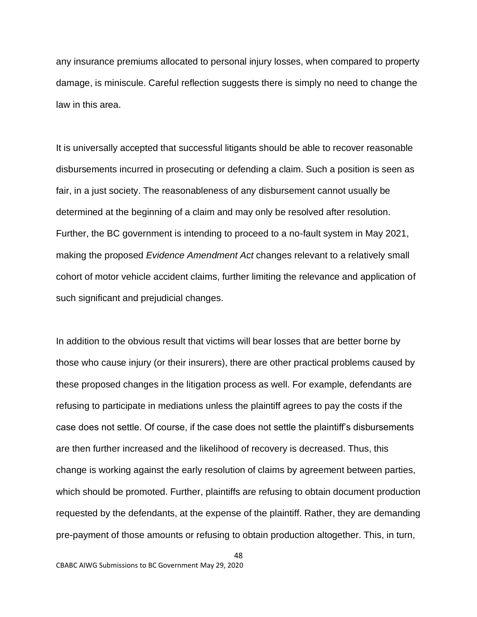any insurance premiums allocated to personal injury losses, when compared to property damage, is miniscule. Careful reflection suggests there is simply no need to change the law in this area.

It is universally accepted that successful litigants should be able to recover reasonable disbursements incurred in prosecuting or defending a claim. Such a position is seen as fair, in a just society. The reasonableness of any disbursement cannot usually be determined at the beginning of a claim and may only be resolved after resolution. Further, the BC government is intending to proceed to a no-fault system in May 2021, making the proposed *Evidence Amendment Act* changes relevant to a relatively small cohort of motor vehicle accident claims, further limiting the relevance and application of such significant and prejudicial changes.

In addition to the obvious result that victims will bear losses that are better borne by those who cause injury (or their insurers), there are other practical problems caused by these proposed changes in the litigation process as well. For example, defendants are refusing to participate in mediations unless the plaintiff agrees to pay the costs if the case does not settle. Of course, if the case does not settle the plaintiff's disbursements are then further increased and the likelihood of recovery is decreased. Thus, this change is working against the early resolution of claims by agreement between parties, which should be promoted. Further, plaintiffs are refusing to obtain document production requested by the defendants, at the expense of the plaintiff. Rather, they are demanding pre-payment of those amounts or refusing to obtain production altogether. This, in turn,

48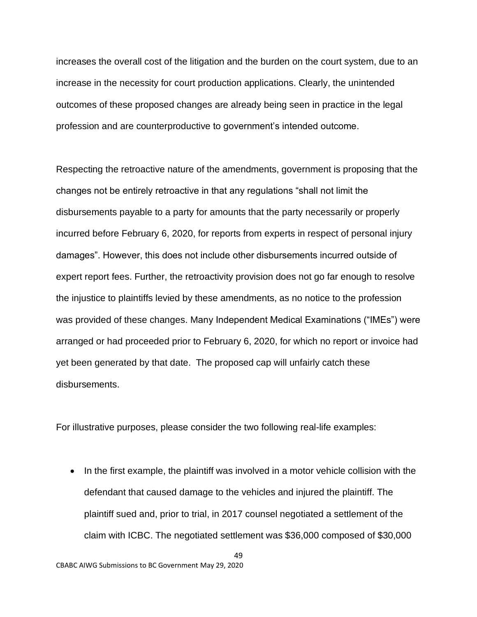increases the overall cost of the litigation and the burden on the court system, due to an increase in the necessity for court production applications. Clearly, the unintended outcomes of these proposed changes are already being seen in practice in the legal profession and are counterproductive to government's intended outcome.

Respecting the retroactive nature of the amendments, government is proposing that the changes not be entirely retroactive in that any regulations "shall not limit the disbursements payable to a party for amounts that the party necessarily or properly incurred before February 6, 2020, for reports from experts in respect of personal injury damages". However, this does not include other disbursements incurred outside of expert report fees. Further, the retroactivity provision does not go far enough to resolve the injustice to plaintiffs levied by these amendments, as no notice to the profession was provided of these changes. Many Independent Medical Examinations ("IMEs") were arranged or had proceeded prior to February 6, 2020, for which no report or invoice had yet been generated by that date. The proposed cap will unfairly catch these disbursements.

For illustrative purposes, please consider the two following real-life examples:

• In the first example, the plaintiff was involved in a motor vehicle collision with the defendant that caused damage to the vehicles and injured the plaintiff. The plaintiff sued and, prior to trial, in 2017 counsel negotiated a settlement of the claim with ICBC. The negotiated settlement was \$36,000 composed of \$30,000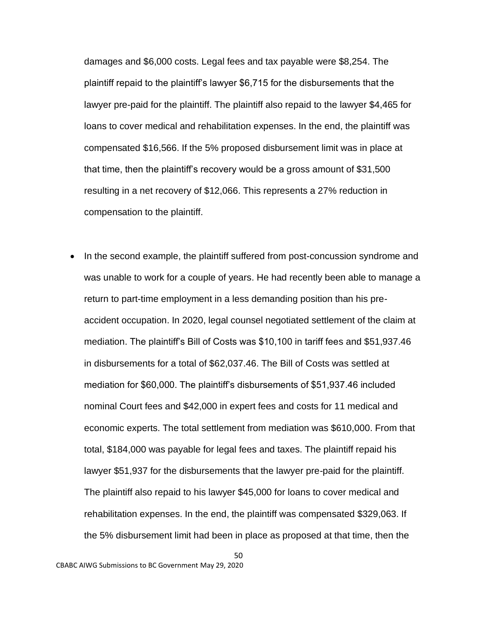damages and \$6,000 costs. Legal fees and tax payable were \$8,254. The plaintiff repaid to the plaintiff's lawyer \$6,715 for the disbursements that the lawyer pre-paid for the plaintiff. The plaintiff also repaid to the lawyer \$4,465 for loans to cover medical and rehabilitation expenses. In the end, the plaintiff was compensated \$16,566. If the 5% proposed disbursement limit was in place at that time, then the plaintiff's recovery would be a gross amount of \$31,500 resulting in a net recovery of \$12,066. This represents a 27% reduction in compensation to the plaintiff.

• In the second example, the plaintiff suffered from post-concussion syndrome and was unable to work for a couple of years. He had recently been able to manage a return to part-time employment in a less demanding position than his preaccident occupation. In 2020, legal counsel negotiated settlement of the claim at mediation. The plaintiff's Bill of Costs was \$10,100 in tariff fees and \$51,937.46 in disbursements for a total of \$62,037.46. The Bill of Costs was settled at mediation for \$60,000. The plaintiff's disbursements of \$51,937.46 included nominal Court fees and \$42,000 in expert fees and costs for 11 medical and economic experts. The total settlement from mediation was \$610,000. From that total, \$184,000 was payable for legal fees and taxes. The plaintiff repaid his lawyer \$51,937 for the disbursements that the lawyer pre-paid for the plaintiff. The plaintiff also repaid to his lawyer \$45,000 for loans to cover medical and rehabilitation expenses. In the end, the plaintiff was compensated \$329,063. If the 5% disbursement limit had been in place as proposed at that time, then the

50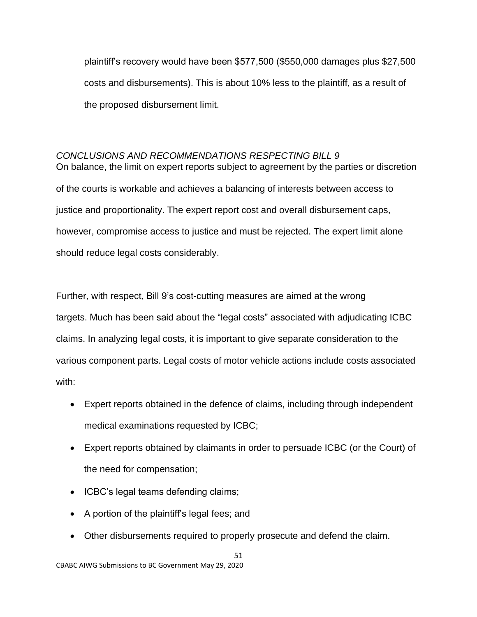plaintiff's recovery would have been \$577,500 (\$550,000 damages plus \$27,500 costs and disbursements). This is about 10% less to the plaintiff, as a result of the proposed disbursement limit.

# <span id="page-50-0"></span>*CONCLUSIONS AND RECOMMENDATIONS RESPECTING BILL 9*

On balance, the limit on expert reports subject to agreement by the parties or discretion of the courts is workable and achieves a balancing of interests between access to justice and proportionality. The expert report cost and overall disbursement caps, however, compromise access to justice and must be rejected. The expert limit alone should reduce legal costs considerably.

Further, with respect, Bill 9's cost-cutting measures are aimed at the wrong targets. Much has been said about the "legal costs" associated with adjudicating ICBC claims. In analyzing legal costs, it is important to give separate consideration to the various component parts. Legal costs of motor vehicle actions include costs associated with:

- Expert reports obtained in the defence of claims, including through independent medical examinations requested by ICBC;
- Expert reports obtained by claimants in order to persuade ICBC (or the Court) of the need for compensation;
- ICBC's legal teams defending claims;
- A portion of the plaintiff's legal fees; and
- Other disbursements required to properly prosecute and defend the claim.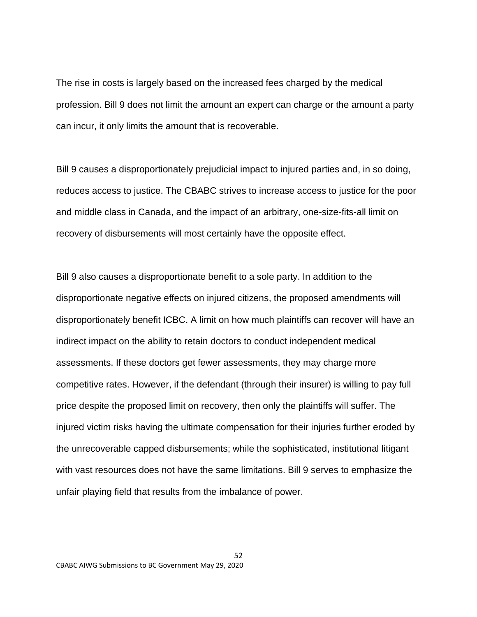The rise in costs is largely based on the increased fees charged by the medical profession. Bill 9 does not limit the amount an expert can charge or the amount a party can incur, it only limits the amount that is recoverable.

Bill 9 causes a disproportionately prejudicial impact to injured parties and, in so doing, reduces access to justice. The CBABC strives to increase access to justice for the poor and middle class in Canada, and the impact of an arbitrary, one-size-fits-all limit on recovery of disbursements will most certainly have the opposite effect.

Bill 9 also causes a disproportionate benefit to a sole party. In addition to the disproportionate negative effects on injured citizens, the proposed amendments will disproportionately benefit ICBC. A limit on how much plaintiffs can recover will have an indirect impact on the ability to retain doctors to conduct independent medical assessments. If these doctors get fewer assessments, they may charge more competitive rates. However, if the defendant (through their insurer) is willing to pay full price despite the proposed limit on recovery, then only the plaintiffs will suffer. The injured victim risks having the ultimate compensation for their injuries further eroded by the unrecoverable capped disbursements; while the sophisticated, institutional litigant with vast resources does not have the same limitations. Bill 9 serves to emphasize the unfair playing field that results from the imbalance of power.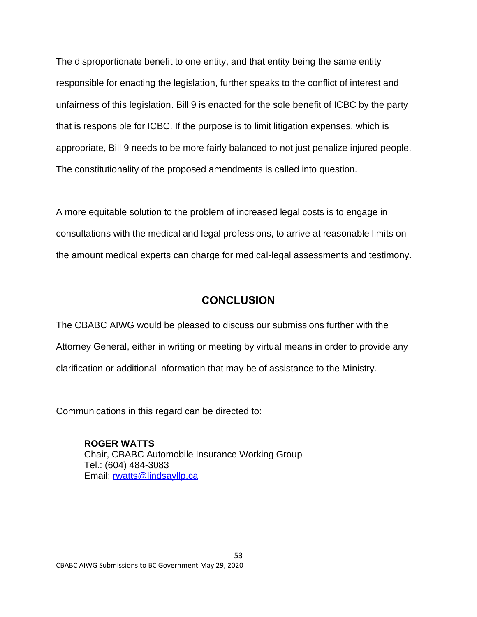The disproportionate benefit to one entity, and that entity being the same entity responsible for enacting the legislation, further speaks to the conflict of interest and unfairness of this legislation. Bill 9 is enacted for the sole benefit of ICBC by the party that is responsible for ICBC. If the purpose is to limit litigation expenses, which is appropriate, Bill 9 needs to be more fairly balanced to not just penalize injured people. The constitutionality of the proposed amendments is called into question.

A more equitable solution to the problem of increased legal costs is to engage in consultations with the medical and legal professions, to arrive at reasonable limits on the amount medical experts can charge for medical-legal assessments and testimony.

# **CONCLUSION**

<span id="page-52-0"></span>The CBABC AIWG would be pleased to discuss our submissions further with the Attorney General, either in writing or meeting by virtual means in order to provide any clarification or additional information that may be of assistance to the Ministry.

Communications in this regard can be directed to:

**ROGER WATTS** Chair, CBABC Automobile Insurance Working Group Tel.: (604) 484-3083 Email: [rwatts@lindsayllp.ca](file:///C:/Users/stuartrennie/Documents/CBABC%20(Thumbdrive%20called%20CBABC%20INVCG)/AUTO%20INSURANCE%20COMMITTEE/Submissions%20to%20government/TO%20CBA/rwatts@lindsayllp.ca)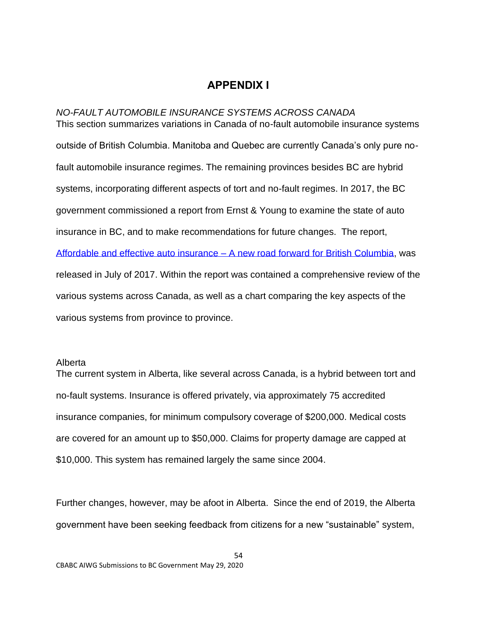# **APPENDIX I**

<span id="page-53-1"></span><span id="page-53-0"></span>*NO-FAULT AUTOMOBILE INSURANCE SYSTEMS ACROSS CANADA* This section summarizes variations in Canada of no-fault automobile insurance systems outside of British Columbia. Manitoba and Quebec are currently Canada's only pure nofault automobile insurance regimes. The remaining provinces besides BC are hybrid systems, incorporating different aspects of tort and no-fault regimes. In 2017, the BC government commissioned a report from Ernst & Young to examine the state of auto insurance in BC, and to make recommendations for future changes. The report, [Affordable and effective auto insurance –](https://www.icbc.com/about-icbc/company-info/Documents/Affordable-and-Effective-AutoInsurance-Report.pdf) A new road forward for British Columbia, was released in July of 2017. Within the report was contained a comprehensive review of the various systems across Canada, as well as a chart comparing the key aspects of the various systems from province to province.

#### <span id="page-53-2"></span>Alberta

The current system in Alberta, like several across Canada, is a hybrid between tort and no-fault systems. Insurance is offered privately, via approximately 75 accredited insurance companies, for minimum compulsory coverage of \$200,000. Medical costs are covered for an amount up to \$50,000. Claims for property damage are capped at \$10,000. This system has remained largely the same since 2004.

Further changes, however, may be afoot in Alberta. Since the end of 2019, the Alberta government have been seeking feedback from citizens for a new "sustainable" system,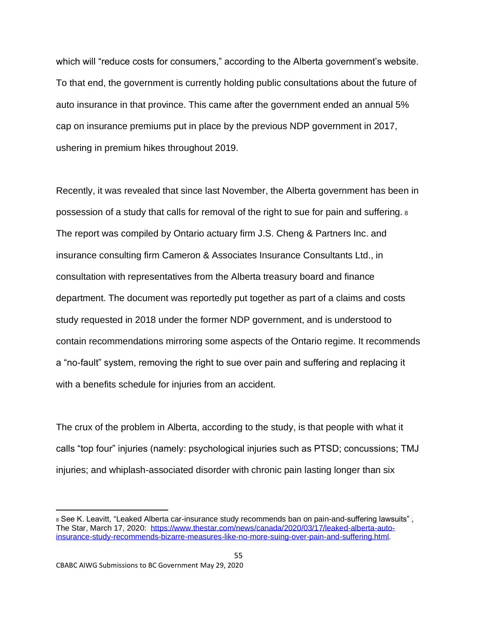which will "reduce costs for consumers," according to the Alberta government's website. To that end, the government is currently holding public consultations about the future of auto insurance in that province. This came after the government ended an annual 5% cap on insurance premiums put in place by the previous NDP government in 2017, ushering in premium hikes throughout 2019.

Recently, it was revealed that since last November, the Alberta government has been in possession of a study that calls for removal of the right to sue for pain and suffering. <sup>8</sup> The report was compiled by Ontario actuary firm J.S. Cheng & Partners Inc. and insurance consulting firm Cameron & Associates Insurance Consultants Ltd., in consultation with representatives from the Alberta treasury board and finance department. The document was reportedly put together as part of a claims and costs study requested in 2018 under the former NDP government, and is understood to contain recommendations mirroring some aspects of the Ontario regime. It recommends a "no-fault" system, removing the right to sue over pain and suffering and replacing it with a benefits schedule for injuries from an accident.

The crux of the problem in Alberta, according to the study, is that people with what it calls "top four" injuries (namely: psychological injuries such as PTSD; concussions; TMJ injuries; and whiplash-associated disorder with chronic pain lasting longer than six

55

<sup>8</sup> See K. Leavitt, "Leaked Alberta car-insurance study recommends ban on pain-and-suffering lawsuits" , The Star, March 17, 2020: [https://www.thestar.com/news/canada/2020/03/17/leaked-alberta-auto](https://www.thestar.com/news/canada/2020/03/17/leaked-alberta-auto-insurance-study-recommends-bizarre-measures-like-no-more-suing-over-pain-and-suffering.html)[insurance-study-recommends-bizarre-measures-like-no-more-suing-over-pain-and-suffering.html.](https://www.thestar.com/news/canada/2020/03/17/leaked-alberta-auto-insurance-study-recommends-bizarre-measures-like-no-more-suing-over-pain-and-suffering.html)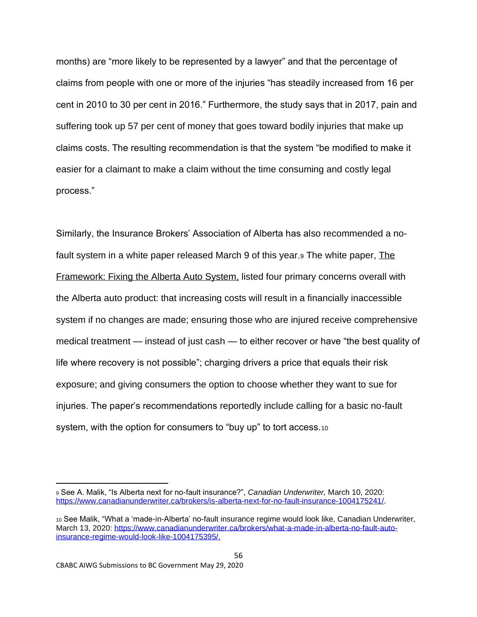months) are "more likely to be represented by a lawyer" and that the percentage of claims from people with one or more of the injuries "has steadily increased from 16 per cent in 2010 to 30 per cent in 2016." Furthermore, the study says that in 2017, pain and suffering took up 57 per cent of money that goes toward bodily injuries that make up claims costs. The resulting recommendation is that the system "be modified to make it easier for a claimant to make a claim without the time consuming and costly legal process."

Similarly, the Insurance Brokers' Association of Alberta has also recommended a nofault system in a white paper released March 9 of this year.<sup>9</sup> The white paper, The Framework: Fixing the Alberta Auto System, listed four primary concerns overall with the Alberta auto product: that increasing costs will result in a financially inaccessible system if no changes are made; ensuring those who are injured receive comprehensive medical treatment — instead of just cash — to either recover or have "the best quality of life where recovery is not possible"; charging drivers a price that equals their risk exposure; and giving consumers the option to choose whether they want to sue for injuries. The paper's recommendations reportedly include calling for a basic no-fault system, with the option for consumers to "buy up" to tort access.10

56

<sup>9</sup> See A. Malik, "Is Alberta next for no-fault insurance?", *Canadian Underwriter,* March 10, 2020: [https://www.canadianunderwriter.ca/brokers/is-alberta-next-for-no-fault-insurance-1004175241/.](https://www.canadianunderwriter.ca/brokers/is-alberta-next-for-no-fault-insurance-1004175241/)

<sup>10</sup> See Malik, "What a 'made-in-Alberta' no-fault insurance regime would look like, Canadian Underwriter, March 13, 2020: [https://www.canadianunderwriter.ca/brokers/what-a-made-in-alberta-no-fault-auto](https://www.canadianunderwriter.ca/brokers/what-a-made-in-alberta-no-fault-auto-insurance-regime-would-look-like-1004175395/)[insurance-regime-would-look-like-1004175395/.](https://www.canadianunderwriter.ca/brokers/what-a-made-in-alberta-no-fault-auto-insurance-regime-would-look-like-1004175395/)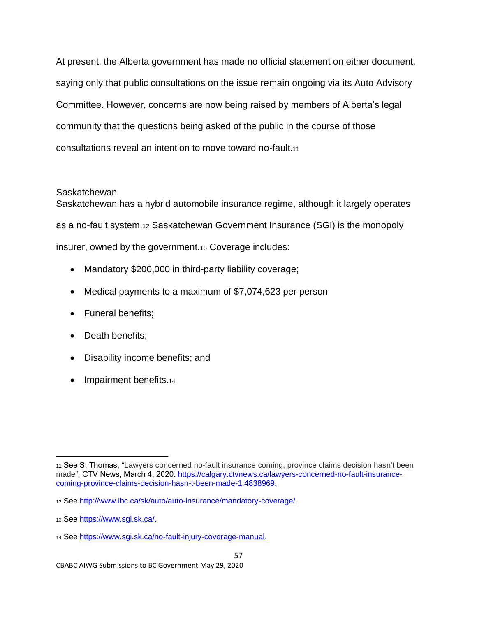At present, the Alberta government has made no official statement on either document, saying only that public consultations on the issue remain ongoing via its Auto Advisory Committee. However, concerns are now being raised by members of Alberta's legal community that the questions being asked of the public in the course of those consultations reveal an intention to move toward no-fault.<sup>11</sup>

# <span id="page-56-0"></span>**Saskatchewan**

Saskatchewan has a hybrid automobile insurance regime, although it largely operates as a no-fault system.<sup>12</sup> Saskatchewan Government Insurance (SGI) is the monopoly insurer, owned by the government.<sup>13</sup> Coverage includes:

- Mandatory \$200,000 in third-party liability coverage;
- Medical payments to a maximum of \$7,074,623 per person
- Funeral benefits;
- Death benefits;
- Disability income benefits; and
- Impairment benefits.14

<sup>11</sup> See S. Thomas, "Lawyers concerned no-fault insurance coming, province claims decision hasn't been made", CTV News, March 4, 2020: [https://calgary.ctvnews.ca/lawyers-concerned-no-fault-insurance](https://calgary.ctvnews.ca/lawyers-concerned-no-fault-insurance-coming-province-claims-decision-hasn-t-been-made-1.4838969)[coming-province-claims-decision-hasn-t-been-made-1.4838969.](https://calgary.ctvnews.ca/lawyers-concerned-no-fault-insurance-coming-province-claims-decision-hasn-t-been-made-1.4838969)

<sup>12</sup> See [http://www.ibc.ca/sk/auto/auto-insurance/mandatory-coverage/.](http://www.ibc.ca/sk/auto/auto-insurance/mandatory-coverage/)

<sup>13</sup> See [https://www.sgi.sk.ca/.](https://www.sgi.sk.ca/)

<sup>14</sup> See [https://www.sgi.sk.ca/no-fault-injury-coverage-manual.](https://www.sgi.sk.ca/no-fault-injury-coverage-manual)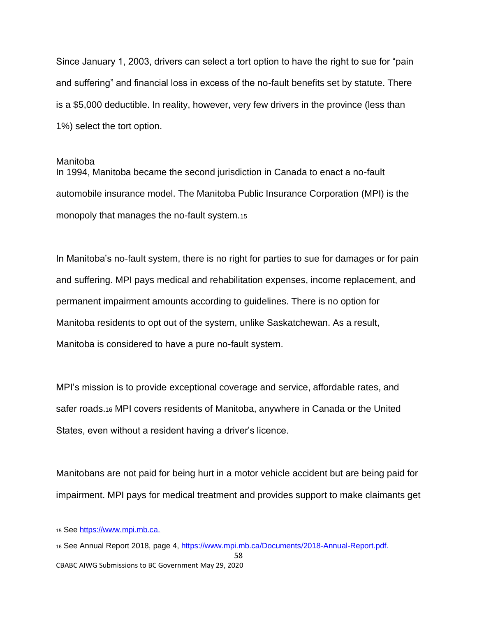Since January 1, 2003, drivers can select a tort option to have the right to sue for "pain and suffering" and financial loss in excess of the no-fault benefits set by statute. There is a \$5,000 deductible. In reality, however, very few drivers in the province (less than 1%) select the tort option.

#### <span id="page-57-0"></span>Manitoba

In 1994, Manitoba became the second jurisdiction in Canada to enact a no-fault automobile insurance model. The Manitoba Public Insurance Corporation (MPI) is the monopoly that manages the no-fault system.<sup>15</sup>

In Manitoba's no-fault system, there is no right for parties to sue for damages or for pain and suffering. MPI pays medical and rehabilitation expenses, income replacement, and permanent impairment amounts according to guidelines. There is no option for Manitoba residents to opt out of the system, unlike Saskatchewan. As a result, Manitoba is considered to have a pure no-fault system.

MPI's mission is to provide exceptional coverage and service, affordable rates, and safer roads.<sup>16</sup> MPI covers residents of Manitoba, anywhere in Canada or the United States, even without a resident having a driver's licence.

Manitobans are not paid for being hurt in a motor vehicle accident but are being paid for impairment. MPI pays for medical treatment and provides support to make claimants get

<sup>15</sup> See [https://www.mpi.mb.ca.](https://www.mpi.mb.ca/)

<sup>16</sup> See Annual Report 2018, page 4, [https://www.mpi.mb.ca/Documents/2018-Annual-Report.pdf.](https://www.mpi.mb.ca/Documents/2018-Annual-Report.pdf)

CBABC AIWG Submissions to BC Government May 29, 2020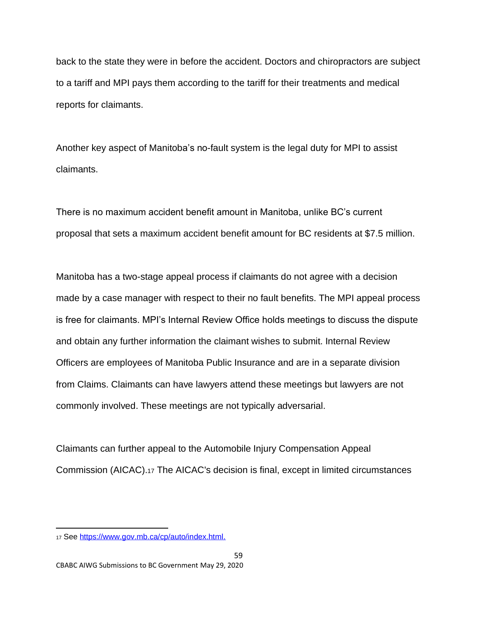back to the state they were in before the accident. Doctors and chiropractors are subject to a tariff and MPI pays them according to the tariff for their treatments and medical reports for claimants.

Another key aspect of Manitoba's no-fault system is the legal duty for MPI to assist claimants.

There is no maximum accident benefit amount in Manitoba, unlike BC's current proposal that sets a maximum accident benefit amount for BC residents at \$7.5 million.

Manitoba has a two-stage appeal process if claimants do not agree with a decision made by a case manager with respect to their no fault benefits. The MPI appeal process is free for claimants. MPI's Internal Review Office holds meetings to discuss the dispute and obtain any further information the claimant wishes to submit. Internal Review Officers are employees of Manitoba Public Insurance and are in a separate division from Claims. Claimants can have lawyers attend these meetings but lawyers are not commonly involved. These meetings are not typically adversarial.

Claimants can further appeal to the Automobile Injury Compensation Appeal Commission (AICAC).<sup>17</sup> The AICAC's decision is final, except in limited circumstances

<sup>17</sup> See [https://www.gov.mb.ca/cp/auto/index.html.](https://www.gov.mb.ca/cp/auto/index.html)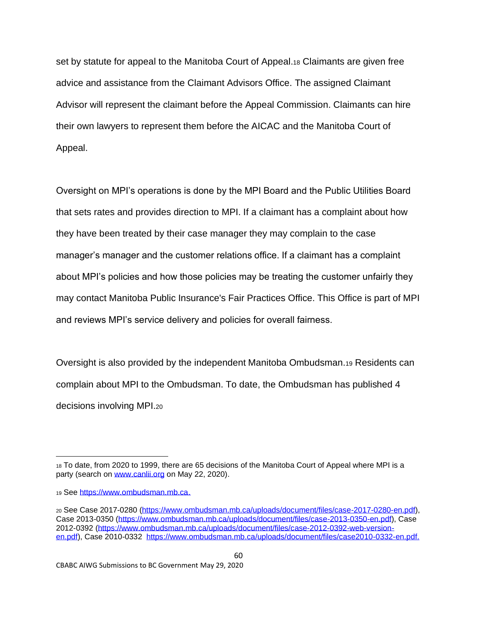set by statute for appeal to the Manitoba Court of Appeal.<sup>18</sup> Claimants are given free advice and assistance from the Claimant Advisors Office. The assigned Claimant Advisor will represent the claimant before the Appeal Commission. Claimants can hire their own lawyers to represent them before the AICAC and the Manitoba Court of Appeal.

Oversight on MPI's operations is done by the MPI Board and the Public Utilities Board that sets rates and provides direction to MPI. If a claimant has a complaint about how they have been treated by their case manager they may complain to the case manager's manager and the customer relations office. If a claimant has a complaint about MPI's policies and how those policies may be treating the customer unfairly they may contact Manitoba Public Insurance's Fair Practices Office. This Office is part of MPI and reviews MPI's service delivery and policies for overall fairness.

Oversight is also provided by the independent Manitoba Ombudsman.<sup>19</sup> Residents can complain about MPI to the Ombudsman. To date, the Ombudsman has published 4 decisions involving MPI.<sup>20</sup>

<sup>18</sup> To date, from 2020 to 1999, there are 65 decisions of the Manitoba Court of Appeal where MPI is a party (search on [www.canlii.org](http://www.canlii.org/) on May 22, 2020).

<sup>19</sup> See [https://www.ombudsman.mb.ca.](https://www.ombudsman.mb.ca/)

<sup>20</sup> See Case 2017-0280 [\(https://www.ombudsman.mb.ca/uploads/document/files/case-2017-0280-en.pdf\)](https://www.ombudsman.mb.ca/uploads/document/files/case-2017-0280-en.pdf), Case 2013-0350 [\(https://www.ombudsman.mb.ca/uploads/document/files/case-2013-0350-en.pdf\)](https://www.ombudsman.mb.ca/uploads/document/files/case-2013-0350-en.pdf), Case 2012-0392 [\(https://www.ombudsman.mb.ca/uploads/document/files/case-2012-0392-web-version](https://www.ombudsman.mb.ca/uploads/document/files/case-2012-0392-web-version-en.pdf)[en.pdf\)](https://www.ombudsman.mb.ca/uploads/document/files/case-2012-0392-web-version-en.pdf), Case 2010-0332 [https://www.ombudsman.mb.ca/uploads/document/files/case2010-0332-en.pdf.](https://www.ombudsman.mb.ca/uploads/document/files/case2010-0332-en.pdf)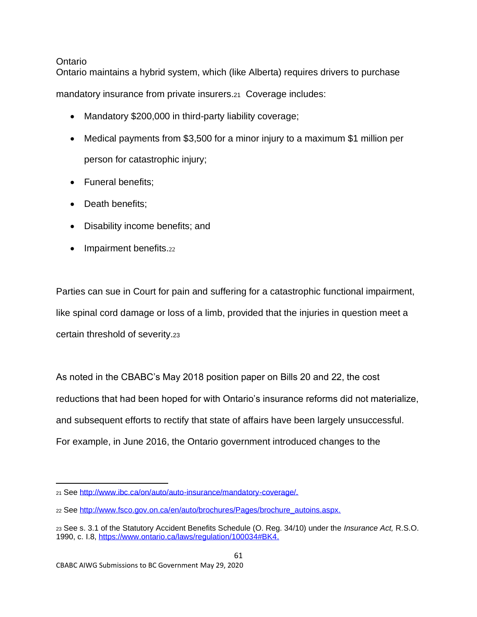### <span id="page-60-0"></span>Ontario

Ontario maintains a hybrid system, which (like Alberta) requires drivers to purchase

mandatory insurance from private insurers.21 Coverage includes:

- Mandatory \$200,000 in third-party liability coverage;
- Medical payments from \$3,500 for a minor injury to a maximum \$1 million per person for catastrophic injury;
- Funeral benefits;
- Death benefits;
- Disability income benefits; and
- Impairment benefits.22

Parties can sue in Court for pain and suffering for a catastrophic functional impairment, like spinal cord damage or loss of a limb, provided that the injuries in question meet a certain threshold of severity.<sup>23</sup>

As noted in the CBABC's May 2018 position paper on Bills 20 and 22, the cost reductions that had been hoped for with Ontario's insurance reforms did not materialize, and subsequent efforts to rectify that state of affairs have been largely unsuccessful. For example, in June 2016, the Ontario government introduced changes to the

<sup>21</sup> See [http://www.ibc.ca/on/auto/auto-insurance/mandatory-coverage/.](http://www.ibc.ca/on/auto/auto-insurance/mandatory-coverage/)

<sup>22</sup> See [http://www.fsco.gov.on.ca/en/auto/brochures/Pages/brochure\\_autoins.aspx.](http://www.fsco.gov.on.ca/en/auto/brochures/Pages/brochure_autoins.aspx)

<sup>23</sup> See s. 3.1 of the Statutory Accident Benefits Schedule (O. Reg. 34/10) under the *Insurance Act,* R.S.O. 1990, c. I.8, [https://www.ontario.ca/laws/regulation/100034#BK4.](https://www.ontario.ca/laws/regulation/100034#BK4)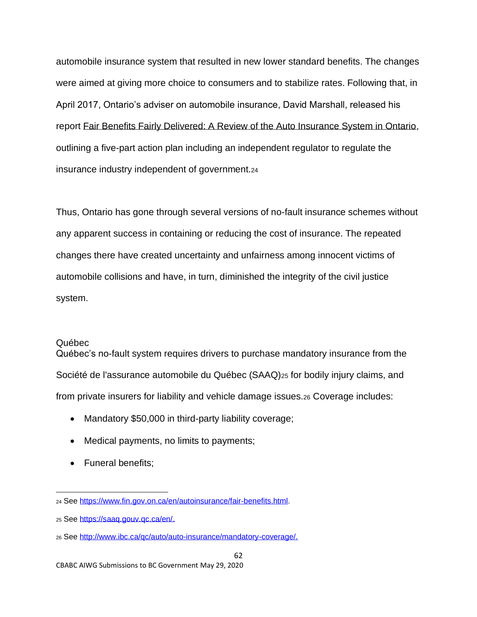automobile insurance system that resulted in new lower standard benefits. The changes were aimed at giving more choice to consumers and to stabilize rates. Following that, in April 2017, Ontario's adviser on automobile insurance, David Marshall, released his report Fair Benefits Fairly Delivered: A Review of the Auto Insurance System in Ontario, outlining a five-part action plan including an independent regulator to regulate the insurance industry independent of government.<sup>24</sup>

Thus, Ontario has gone through several versions of no-fault insurance schemes without any apparent success in containing or reducing the cost of insurance. The repeated changes there have created uncertainty and unfairness among innocent victims of automobile collisions and have, in turn, diminished the integrity of the civil justice system.

#### <span id="page-61-0"></span>Québec

Québec's no-fault system requires drivers to purchase mandatory insurance from the Société de l'assurance automobile du Québec (SAAQ)<sub>25</sub> for bodily injury claims, and from private insurers for liability and vehicle damage issues.<sup>26</sup> Coverage includes:

- Mandatory \$50,000 in third-party liability coverage;
- Medical payments, no limits to payments;
- Funeral benefits;

<sup>24</sup> See [https://www.fin.gov.on.ca/en/autoinsurance/fair-benefits.html.](https://www.fin.gov.on.ca/en/autoinsurance/fair-benefits.html)

<sup>25</sup> See [https://saaq.gouv.qc.ca/en/.](https://saaq.gouv.qc.ca/en/)

<sup>26</sup> See [http://www.ibc.ca/qc/auto/auto-insurance/mandatory-coverage/.](http://www.ibc.ca/qc/auto/auto-insurance/mandatory-coverage/)

CBABC AIWG Submissions to BC Government May 29, 2020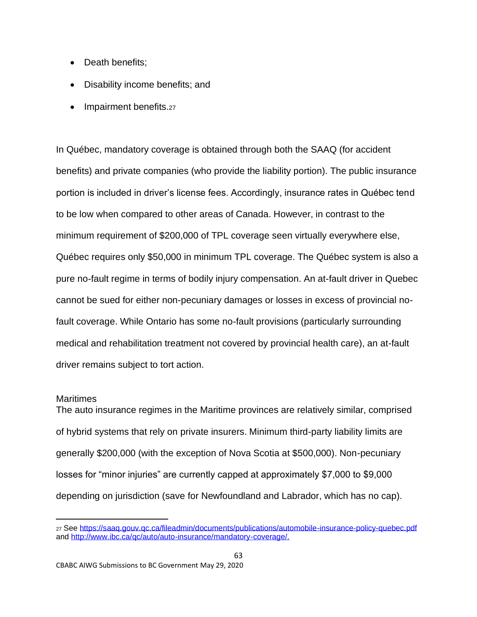- Death benefits:
- Disability income benefits; and
- Impairment benefits.27

In Québec, mandatory coverage is obtained through both the SAAQ (for accident benefits) and private companies (who provide the liability portion). The public insurance portion is included in driver's license fees. Accordingly, insurance rates in Québec tend to be low when compared to other areas of Canada. However, in contrast to the minimum requirement of \$200,000 of TPL coverage seen virtually everywhere else, Québec requires only \$50,000 in minimum TPL coverage. The Québec system is also a pure no-fault regime in terms of bodily injury compensation. An at-fault driver in Quebec cannot be sued for either non-pecuniary damages or losses in excess of provincial nofault coverage. While Ontario has some no-fault provisions (particularly surrounding medical and rehabilitation treatment not covered by provincial health care), an at-fault driver remains subject to tort action.

#### <span id="page-62-0"></span>Maritimes

The auto insurance regimes in the Maritime provinces are relatively similar, comprised of hybrid systems that rely on private insurers. Minimum third-party liability limits are generally \$200,000 (with the exception of Nova Scotia at \$500,000). Non-pecuniary losses for "minor injuries" are currently capped at approximately \$7,000 to \$9,000 depending on jurisdiction (save for Newfoundland and Labrador, which has no cap).

<sup>27</sup> See<https://saaq.gouv.qc.ca/fileadmin/documents/publications/automobile-insurance-policy-quebec.pdf> and [http://www.ibc.ca/qc/auto/auto-insurance/mandatory-coverage/.](http://www.ibc.ca/qc/auto/auto-insurance/mandatory-coverage/)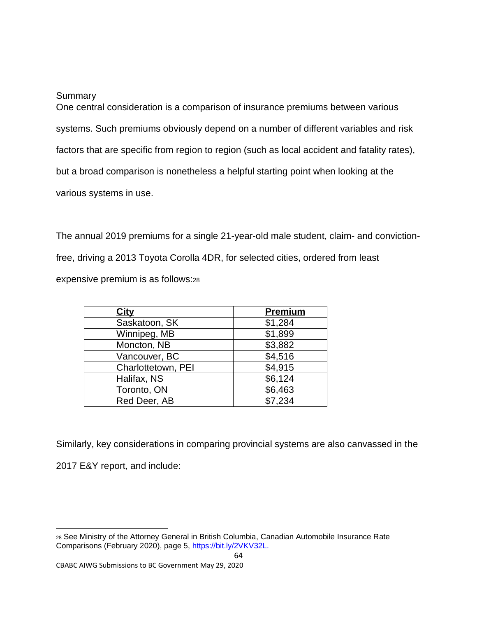#### <span id="page-63-0"></span>**Summary**

One central consideration is a comparison of insurance premiums between various systems. Such premiums obviously depend on a number of different variables and risk factors that are specific from region to region (such as local accident and fatality rates), but a broad comparison is nonetheless a helpful starting point when looking at the various systems in use.

The annual 2019 premiums for a single 21-year-old male student, claim- and convictionfree, driving a 2013 Toyota Corolla 4DR, for selected cities, ordered from least expensive premium is as follows:<sup>28</sup>

| City               | <b>Premium</b> |
|--------------------|----------------|
| Saskatoon, SK      | \$1,284        |
| Winnipeg, MB       | \$1,899        |
| Moncton, NB        | \$3,882        |
| Vancouver, BC      | \$4,516        |
| Charlottetown, PEI | \$4,915        |
| Halifax, NS        | \$6,124        |
| Toronto, ON        | \$6,463        |
| Red Deer, AB       | \$7,234        |

Similarly, key considerations in comparing provincial systems are also canvassed in the 2017 E&Y report, and include:

<sup>28</sup> See Ministry of the Attorney General in British Columbia, Canadian Automobile Insurance Rate Comparisons (February 2020), page 5, [https://bit.ly/2VKV32L.](https://bit.ly/2VKV32L)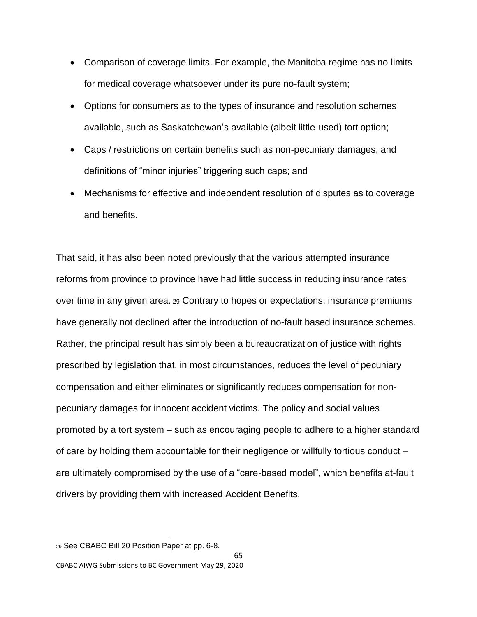- Comparison of coverage limits. For example, the Manitoba regime has no limits for medical coverage whatsoever under its pure no-fault system;
- Options for consumers as to the types of insurance and resolution schemes available, such as Saskatchewan's available (albeit little-used) tort option;
- Caps / restrictions on certain benefits such as non-pecuniary damages, and definitions of "minor injuries" triggering such caps; and
- Mechanisms for effective and independent resolution of disputes as to coverage and benefits.

That said, it has also been noted previously that the various attempted insurance reforms from province to province have had little success in reducing insurance rates over time in any given area. <sup>29</sup> Contrary to hopes or expectations, insurance premiums have generally not declined after the introduction of no-fault based insurance schemes. Rather, the principal result has simply been a bureaucratization of justice with rights prescribed by legislation that, in most circumstances, reduces the level of pecuniary compensation and either eliminates or significantly reduces compensation for nonpecuniary damages for innocent accident victims. The policy and social values promoted by a tort system – such as encouraging people to adhere to a higher standard of care by holding them accountable for their negligence or willfully tortious conduct – are ultimately compromised by the use of a "care-based model", which benefits at-fault drivers by providing them with increased Accident Benefits.

<sup>29</sup> See CBABC Bill 20 Position Paper at pp. 6-8.